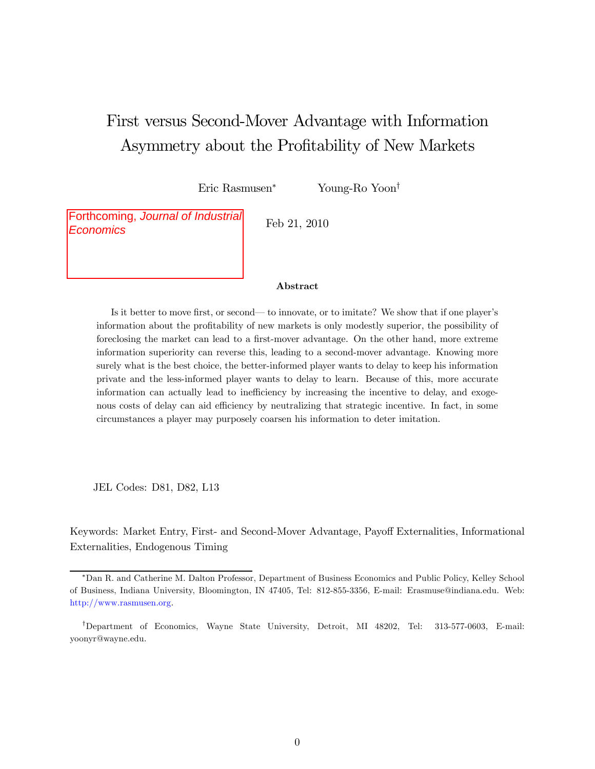# First versus Second-Mover Advantage with Information Asymmetry about the Profitability of New Markets

Eric Rasmusen<sup>∗</sup> Young-Ro Yoon† Feb 21, 2010 Forthcoming, Journal of Industrial **Economics** 

#### Abstract

Is it better to move first, or second– to innovate, or to imitate? We show that if one player's information about the profitability of new markets is only modestly superior, the possibility of foreclosing the market can lead to a first-mover advantage. On the other hand, more extreme information superiority can reverse this, leading to a second-mover advantage. Knowing more surely what is the best choice, the better-informed player wants to delay to keep his information private and the less-informed player wants to delay to learn. Because of this, more accurate information can actually lead to inefficiency by increasing the incentive to delay, and exogenous costs of delay can aid efficiency by neutralizing that strategic incentive. In fact, in some circumstances a player may purposely coarsen his information to deter imitation.

JEL Codes: D81, D82, L13

Keywords: Market Entry, First- and Second-Mover Advantage, Payoff Externalities, Informational Externalities, Endogenous Timing

<sup>∗</sup>Dan R. and Catherine M. Dalton Professor, Department of Business Economics and Public Policy, Kelley School of Business, Indiana University, Bloomington, IN 47405, Tel: 812-855-3356, E-mail: Erasmuse@indiana.edu. Web: http://www.rasmusen.org.

<sup>†</sup>Department of Economics, Wayne State University, Detroit, MI 48202, Tel: 313-577-0603, E-mail: yoonyr@wayne.edu.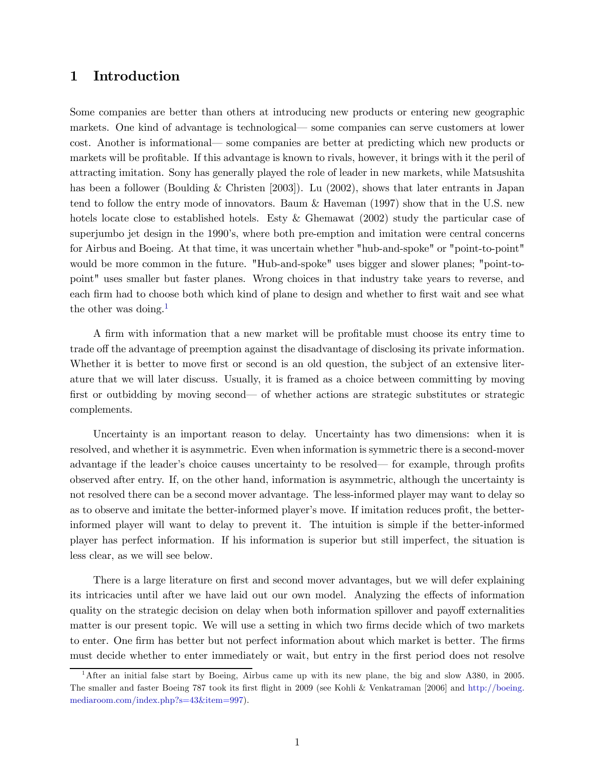# 1 Introduction

Some companies are better than others at introducing new products or entering new geographic markets. One kind of advantage is technological– some companies can serve customers at lower cost. Another is informational– some companies are better at predicting which new products or markets will be profitable. If this advantage is known to rivals, however, it brings with it the peril of attracting imitation. Sony has generally played the role of leader in new markets, while Matsushita has been a follower (Boulding & Christen [2003]). Lu (2002), shows that later entrants in Japan tend to follow the entry mode of innovators. Baum & Haveman (1997) show that in the U.S. new hotels locate close to established hotels. Esty & Ghemawat (2002) study the particular case of superjumbo jet design in the 1990's, where both pre-emption and imitation were central concerns for Airbus and Boeing. At that time, it was uncertain whether "hub-and-spoke" or "point-to-point" would be more common in the future. "Hub-and-spoke" uses bigger and slower planes; "point-topoint" uses smaller but faster planes. Wrong choices in that industry take years to reverse, and each firm had to choose both which kind of plane to design and whether to first wait and see what the other was doing.<sup>1</sup>

A firm with information that a new market will be profitable must choose its entry time to trade off the advantage of preemption against the disadvantage of disclosing its private information. Whether it is better to move first or second is an old question, the subject of an extensive literature that we will later discuss. Usually, it is framed as a choice between committing by moving first or outbidding by moving second– of whether actions are strategic substitutes or strategic complements.

Uncertainty is an important reason to delay. Uncertainty has two dimensions: when it is resolved, and whether it is asymmetric. Even when information is symmetric there is a second-mover advantage if the leader's choice causes uncertainty to be resolved– for example, through profits observed after entry. If, on the other hand, information is asymmetric, although the uncertainty is not resolved there can be a second mover advantage. The less-informed player may want to delay so as to observe and imitate the better-informed player's move. If imitation reduces profit, the betterinformed player will want to delay to prevent it. The intuition is simple if the better-informed player has perfect information. If his information is superior but still imperfect, the situation is less clear, as we will see below.

There is a large literature on first and second mover advantages, but we will defer explaining its intricacies until after we have laid out our own model. Analyzing the effects of information quality on the strategic decision on delay when both information spillover and payoff externalities matter is our present topic. We will use a setting in which two firms decide which of two markets to enter. One firm has better but not perfect information about which market is better. The firms must decide whether to enter immediately or wait, but entry in the first period does not resolve

<sup>1</sup>After an initial false start by Boeing, Airbus came up with its new plane, the big and slow A380, in 2005. The smaller and faster Boeing 787 took its first flight in 2009 (see Kohli & Venkatraman [2006] and http://boeing. mediaroom.com/index.php?s=43&item=997).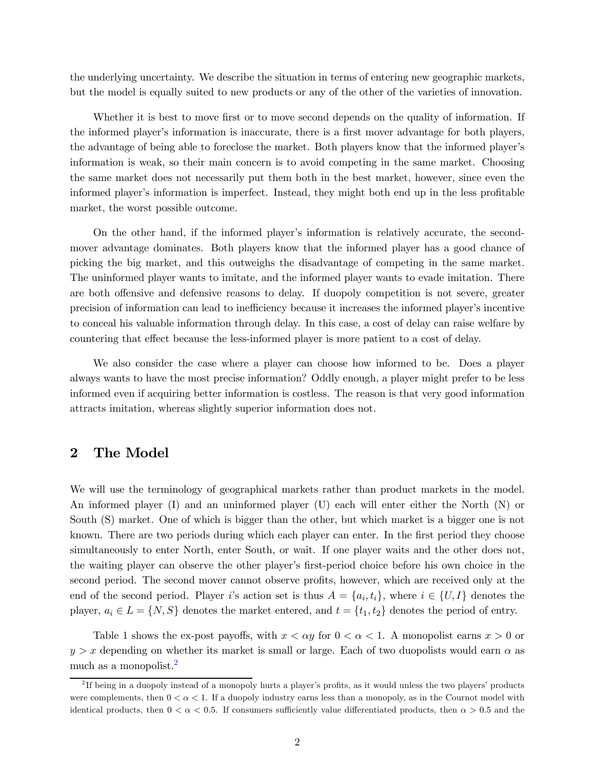the underlying uncertainty. We describe the situation in terms of entering new geographic markets, but the model is equally suited to new products or any of the other of the varieties of innovation.

Whether it is best to move first or to move second depends on the quality of information. If the informed player's information is inaccurate, there is a first mover advantage for both players, the advantage of being able to foreclose the market. Both players know that the informed player's information is weak, so their main concern is to avoid competing in the same market. Choosing the same market does not necessarily put them both in the best market, however, since even the informed player's information is imperfect. Instead, they might both end up in the less profitable market, the worst possible outcome.

On the other hand, if the informed player's information is relatively accurate, the secondmover advantage dominates. Both players know that the informed player has a good chance of picking the big market, and this outweighs the disadvantage of competing in the same market. The uninformed player wants to imitate, and the informed player wants to evade imitation. There are both offensive and defensive reasons to delay. If duopoly competition is not severe, greater precision of information can lead to inefficiency because it increases the informed player's incentive to conceal his valuable information through delay. In this case, a cost of delay can raise welfare by countering that effect because the less-informed player is more patient to a cost of delay.

We also consider the case where a player can choose how informed to be. Does a player always wants to have the most precise information? Oddly enough, a player might prefer to be less informed even if acquiring better information is costless. The reason is that very good information attracts imitation, whereas slightly superior information does not.

# 2 The Model

We will use the terminology of geographical markets rather than product markets in the model. An informed player (I) and an uninformed player (U) each will enter either the North (N) or South (S) market. One of which is bigger than the other, but which market is a bigger one is not known. There are two periods during which each player can enter. In the first period they choose simultaneously to enter North, enter South, or wait. If one player waits and the other does not, the waiting player can observe the other player's first-period choice before his own choice in the second period. The second mover cannot observe profits, however, which are received only at the end of the second period. Player i's action set is thus  $A = \{a_i, t_i\}$ , where  $i \in \{U, I\}$  denotes the player,  $a_i \in L = \{N, S\}$  denotes the market entered, and  $t = \{t_1, t_2\}$  denotes the period of entry.

Table 1 shows the ex-post payoffs, with  $x < \alpha y$  for  $0 < \alpha < 1$ . A monopolist earns  $x > 0$  or  $y > x$  depending on whether its market is small or large. Each of two duopolists would earn  $\alpha$  as much as a monopolist.<sup>2</sup>

 $2^2$ If being in a duopoly instead of a monopoly hurts a player's profits, as it would unless the two players' products were complements, then  $0 < \alpha < 1$ . If a duopoly industry earns less than a monopoly, as in the Cournot model with identical products, then  $0 < \alpha < 0.5$ . If consumers sufficiently value differentiated products, then  $\alpha > 0.5$  and the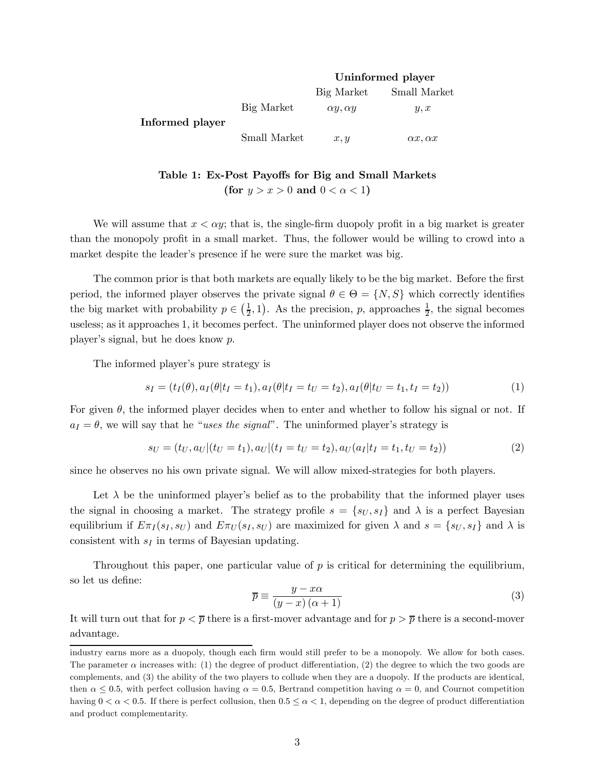|                 |              | Uninformed player    |                      |
|-----------------|--------------|----------------------|----------------------|
|                 |              | Big Market           | Small Market         |
| Informed player | Big Market   | $\alpha y, \alpha y$ | y, x                 |
|                 | Small Market | x, y                 | $\alpha x, \alpha x$ |

Table 1: Ex-Post Payoffs for Big and Small Markets (for  $y > x > 0$  and  $0 < \alpha < 1$ )

We will assume that  $x < \alpha y$ ; that is, the single-firm duopoly profit in a big market is greater than the monopoly profit in a small market. Thus, the follower would be willing to crowd into a market despite the leader's presence if he were sure the market was big.

The common prior is that both markets are equally likely to be the big market. Before the first period, the informed player observes the private signal  $\theta \in \Theta = \{N, S\}$  which correctly identifies the big market with probability  $p \in (\frac{1}{2}, 1)$ . As the precision, p, approaches  $\frac{1}{2}$ , the signal becomes useless; as it approaches 1, it becomes perfect. The uninformed player does not observe the informed player's signal, but he does know p.

The informed player's pure strategy is

$$
s_I = (t_I(\theta), a_I(\theta | t_I = t_1), a_I(\theta | t_I = t_U = t_2), a_I(\theta | t_U = t_1, t_I = t_2))
$$
\n(1)

For given  $\theta$ , the informed player decides when to enter and whether to follow his signal or not. If  $a_I = \theta$ , we will say that he "uses the signal". The uninformed player's strategy is

$$
s_U = (t_U, a_U | (t_U = t_1), a_U | (t_I = t_U = t_2), a_U(a_I | t_I = t_1, t_U = t_2))
$$
\n<sup>(2)</sup>

since he observes no his own private signal. We will allow mixed-strategies for both players.

Let  $\lambda$  be the uninformed player's belief as to the probability that the informed player uses the signal in choosing a market. The strategy profile  $s = \{s_U, s_I\}$  and  $\lambda$  is a perfect Bayesian equilibrium if  $E\pi_I(s_I, s_U)$  and  $E\pi_U(s_I, s_U)$  are maximized for given  $\lambda$  and  $s = \{s_U, s_I\}$  and  $\lambda$  is consistent with  $s_I$  in terms of Bayesian updating.

Throughout this paper, one particular value of  $p$  is critical for determining the equilibrium, so let us define:

$$
\overline{p} \equiv \frac{y - x\alpha}{(y - x)(\alpha + 1)}
$$
\n(3)

It will turn out that for  $p < \overline{p}$  there is a first-mover advantage and for  $p > \overline{p}$  there is a second-mover advantage.

industry earns more as a duopoly, though each firm would still prefer to be a monopoly. We allow for both cases. The parameter  $\alpha$  increases with: (1) the degree of product differentiation, (2) the degree to which the two goods are complements, and (3) the ability of the two players to collude when they are a duopoly. If the products are identical, then  $\alpha \leq 0.5$ , with perfect collusion having  $\alpha = 0.5$ , Bertrand competition having  $\alpha = 0$ , and Cournot competition having  $0 < \alpha < 0.5$ . If there is perfect collusion, then  $0.5 \leq \alpha < 1$ , depending on the degree of product differentiation and product complementarity.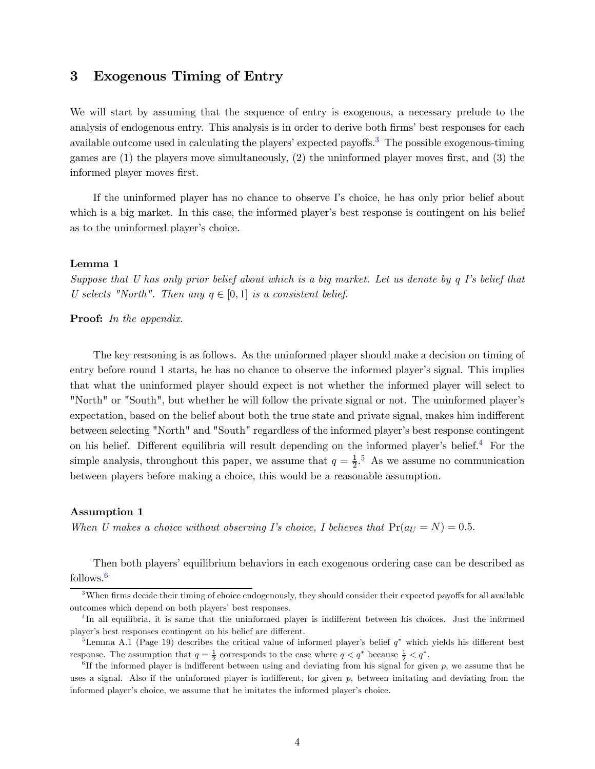# 3 Exogenous Timing of Entry

We will start by assuming that the sequence of entry is exogenous, a necessary prelude to the analysis of endogenous entry. This analysis is in order to derive both firms' best responses for each available outcome used in calculating the players' expected payoffs.<sup>3</sup> The possible exogenous-timing games are (1) the players move simultaneously, (2) the uninformed player moves first, and (3) the informed player moves first.

If the uninformed player has no chance to observe I's choice, he has only prior belief about which is a big market. In this case, the informed player's best response is contingent on his belief as to the uninformed player's choice.

### Lemma 1

Suppose that U has only prior belief about which is a big market. Let us denote by q I's belief that U selects "North". Then any  $q \in [0,1]$  is a consistent belief.

Proof: In the appendix.

The key reasoning is as follows. As the uninformed player should make a decision on timing of entry before round 1 starts, he has no chance to observe the informed player's signal. This implies that what the uninformed player should expect is not whether the informed player will select to "North" or "South", but whether he will follow the private signal or not. The uninformed player's expectation, based on the belief about both the true state and private signal, makes him indifferent between selecting "North" and "South" regardless of the informed player's best response contingent on his belief. Different equilibria will result depending on the informed player's belief.4 For the simple analysis, throughout this paper, we assume that  $q = \frac{1}{2}$ .<sup>5</sup> As we assume no communication between players before making a choice, this would be a reasonable assumption.

### Assumption 1

When U makes a choice without observing I's choice, I believes that  $Pr(a_U = N) = 0.5$ .

Then both players' equilibrium behaviors in each exogenous ordering case can be described as follows.<sup>6</sup>

<sup>&</sup>lt;sup>3</sup>When firms decide their timing of choice endogenously, they should consider their expected payoffs for all available outcomes which depend on both players' best responses.

<sup>4</sup> In all equilibria, it is same that the uninformed player is indifferent between his choices. Just the informed player's best responses contingent on his belief are different.

<sup>&</sup>lt;sup>5</sup>Lemma A.1 (Page 19) describes the critical value of informed player's belief  $q^*$  which yields his different best response. The assumption that  $q = \frac{1}{2}$  corresponds to the case where  $q < q^*$  because  $\frac{1}{2}$ 

<sup>&</sup>lt;sup>6</sup>If the informed player is indifferent between using and deviating from his signal for given p, we assume that he uses a signal. Also if the uninformed player is indifferent, for given  $p$ , between imitating and deviating from the informed player's choice, we assume that he imitates the informed player's choice.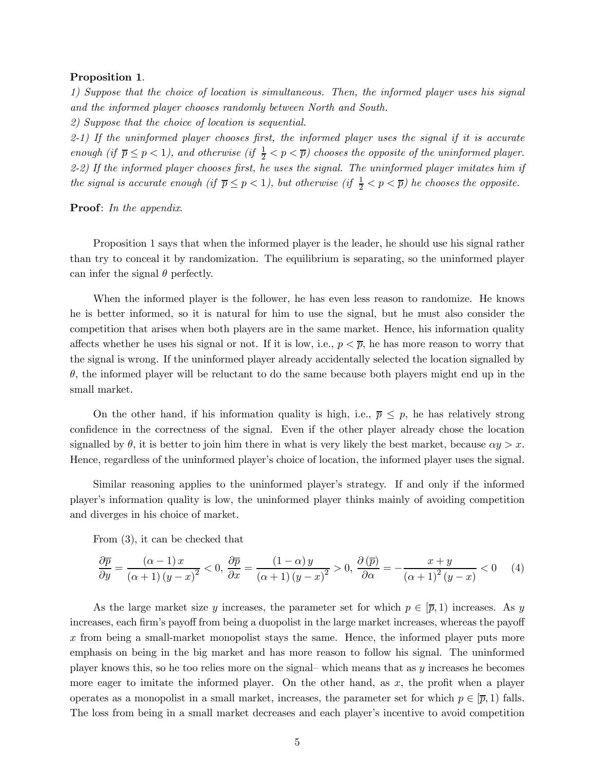#### Proposition 1.

1) Suppose that the choice of location is simultaneous. Then, the informed player uses his signal and the informed player chooses randomly between North and South.

2) Suppose that the choice of location is sequential.

2-1) If the uninformed player chooses first, the informed player uses the signal if it is accurate enough (if  $\overline{p} \leq p < 1$ ), and otherwise (if  $\frac{1}{2} < p < \overline{p}$ ) chooses the opposite of the uninformed player.  $2-2$ ) If the informed player chooses first, he uses the signal. The uninformed player imitates him if the signal is accurate enough (if  $\overline{p} \leq p < 1$ ), but otherwise (if  $\frac{1}{2} < p < \overline{p}$ ) he chooses the opposite.

**Proof**: In the appendix.

Proposition 1 says that when the informed player is the leader, he should use his signal rather than try to conceal it by randomization. The equilibrium is separating, so the uninformed player can infer the signal  $\theta$  perfectly.

When the informed player is the follower, he has even less reason to randomize. He knows he is better informed, so it is natural for him to use the signal, but he must also consider the competition that arises when both players are in the same market. Hence, his information quality affects whether he uses his signal or not. If it is low, i.e.,  $p < \overline{p}$ , he has more reason to worry that the signal is wrong. If the uninformed player already accidentally selected the location signalled by  $\theta$ , the informed player will be reluctant to do the same because both players might end up in the small market.

On the other hand, if his information quality is high, i.e.,  $\bar{p} \leq p$ , he has relatively strong confidence in the correctness of the signal. Even if the other player already chose the location signalled by  $\theta$ , it is better to join him there in what is very likely the best market, because  $\alpha y > x$ . Hence, regardless of the uninformed player's choice of location, the informed player uses the signal.

Similar reasoning applies to the uninformed player's strategy. If and only if the informed player's information quality is low, the uninformed player thinks mainly of avoiding competition and diverges in his choice of market.

From (3), it can be checked that

$$
\frac{\partial \overline{p}}{\partial y} = \frac{(\alpha - 1)x}{(\alpha + 1)(y - x)^2} < 0, \quad \frac{\partial \overline{p}}{\partial x} = \frac{(1 - \alpha)y}{(\alpha + 1)(y - x)^2} > 0, \quad \frac{\partial (\overline{p})}{\partial \alpha} = -\frac{x + y}{(\alpha + 1)^2(y - x)} < 0 \tag{4}
$$

As the large market size y increases, the parameter set for which  $p \in [\overline{p}, 1)$  increases. As y increases, each firm's payoff from being a duopolist in the large market increases, whereas the payoff x from being a small-market monopolist stays the same. Hence, the informed player puts more emphasis on being in the big market and has more reason to follow his signal. The uninformed player knows this, so he too relies more on the signal— which means that as y increases he becomes more eager to imitate the informed player. On the other hand, as  $x$ , the profit when a player operates as a monopolist in a small market, increases, the parameter set for which  $p \in [\overline{p}, 1)$  falls. The loss from being in a small market decreases and each player's incentive to avoid competition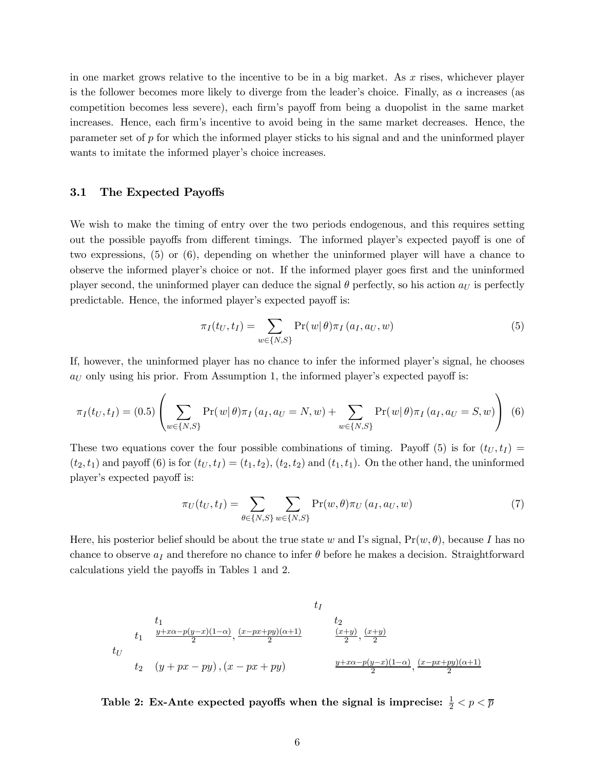in one market grows relative to the incentive to be in a big market. As  $x$  rises, whichever player is the follower becomes more likely to diverge from the leader's choice. Finally, as  $\alpha$  increases (as competition becomes less severe), each firm's payoff from being a duopolist in the same market increases. Hence, each firm's incentive to avoid being in the same market decreases. Hence, the parameter set of  $p$  for which the informed player sticks to his signal and and the uninformed player wants to imitate the informed player's choice increases.

# 3.1 The Expected Payoffs

We wish to make the timing of entry over the two periods endogenous, and this requires setting out the possible payoffs from different timings. The informed player's expected payoff is one of two expressions, (5) or (6), depending on whether the uninformed player will have a chance to observe the informed player's choice or not. If the informed player goes first and the uninformed player second, the uninformed player can deduce the signal  $\theta$  perfectly, so his action  $a_U$  is perfectly predictable. Hence, the informed player's expected payoff is:

$$
\pi_I(t_U, t_I) = \sum_{w \in \{N, S\}} \Pr(w | \theta) \pi_I(a_I, a_U, w)
$$
\n(5)

If, however, the uninformed player has no chance to infer the informed player's signal, he chooses  $a_U$  only using his prior. From Assumption 1, the informed player's expected payoff is:

$$
\pi_I(t_U, t_I) = (0.5) \left( \sum_{w \in \{N, S\}} \Pr(w | \theta) \pi_I(a_I, a_U = N, w) + \sum_{w \in \{N, S\}} \Pr(w | \theta) \pi_I(a_I, a_U = S, w) \right) (6)
$$

These two equations cover the four possible combinations of timing. Payoff (5) is for  $(t_U, t_I)$  =  $(t_2, t_1)$  and payoff (6) is for  $(t_U, t_I) = (t_1, t_2)$ ,  $(t_2, t_2)$  and  $(t_1, t_1)$ . On the other hand, the uninformed player's expected payoff is:

$$
\pi_U(t_U, t_I) = \sum_{\theta \in \{N, S\}} \sum_{w \in \{N, S\}} \Pr(w, \theta) \pi_U(a_I, a_U, w) \tag{7}
$$

Here, his posterior belief should be about the true state w and I's signal,  $Pr(w, \theta)$ , because I has no chance to observe  $a_I$  and therefore no chance to infer  $\theta$  before he makes a decision. Straightforward calculations yield the payoffs in Tables 1 and 2.

$$
t_I
$$
\n
$$
t_1
$$
\n
$$
t_2
$$
\n
$$
t_1
$$
\n
$$
t_2
$$
\n
$$
t_2
$$
\n
$$
t_1
$$
\n
$$
t_2
$$
\n
$$
t_2
$$
\n
$$
t_1
$$
\n
$$
t_2
$$
\n
$$
t_2
$$
\n
$$
t_1
$$
\n
$$
t_2
$$
\n
$$
t_2
$$
\n
$$
t_1
$$
\n
$$
t_2
$$
\n
$$
t_2
$$
\n
$$
t_1
$$
\n
$$
t_2
$$
\n
$$
t_2
$$
\n
$$
t_1
$$
\n
$$
t_2
$$
\n
$$
t_2
$$
\n
$$
t_1
$$
\n
$$
t_2
$$
\n
$$
t_2
$$
\n
$$
t_1
$$
\n
$$
t_2
$$
\n
$$
t_2
$$
\n
$$
t_1
$$
\n
$$
t_2
$$
\n
$$
t_1
$$
\n
$$
t_2
$$
\n
$$
t_1
$$
\n
$$
t_2
$$
\n
$$
t_1
$$
\n
$$
t_2
$$
\n
$$
t_1
$$
\n
$$
t_2
$$
\n
$$
t_1
$$
\n
$$
t_2
$$
\n
$$
t_1
$$
\n
$$
t_2
$$
\n
$$
t_1
$$
\n
$$
t_2
$$
\n
$$
t_1
$$
\n
$$
t_2
$$
\n
$$
t_1
$$
\n
$$
t_2
$$
\n
$$
t_1
$$
\n
$$
t_2
$$
\n
$$
t_1
$$
\n
$$
t_2
$$
\n
$$
t_1
$$
\n
$$
t_2
$$
\n
$$
t_1
$$
\n
$$
t_2
$$
\n
$$
t_1
$$
\

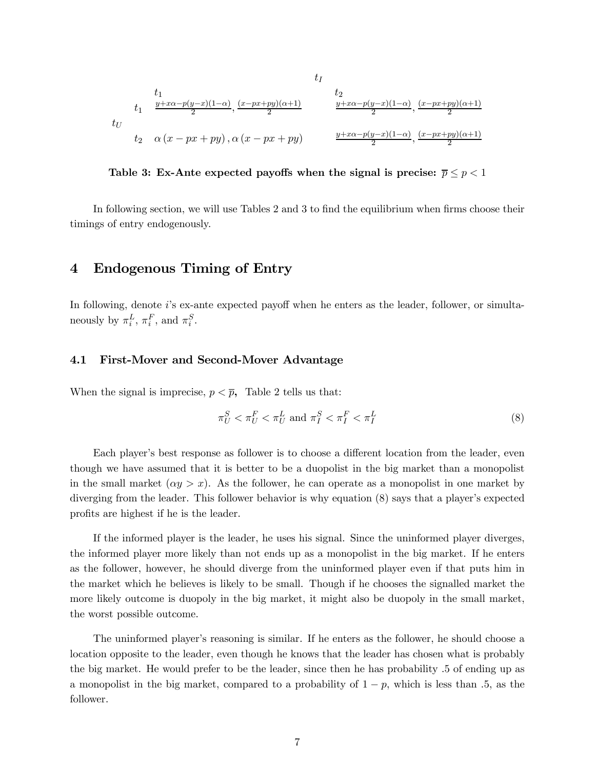$$
t_I
$$
  
\n
$$
t_1
$$
  
\n
$$
t_1
$$
  
\n
$$
t_2
$$
  
\n
$$
t_1
$$
  
\n
$$
t_2
$$
  
\n
$$
t_2
$$
  
\n
$$
t_1
$$
  
\n
$$
t_2
$$
  
\n
$$
t_2
$$
  
\n
$$
t_1
$$
  
\n
$$
t_2
$$
  
\n
$$
\alpha (x - px + py), \alpha (x - px + py)
$$
  
\n
$$
t_2
$$
  
\n
$$
t_1
$$
  
\n
$$
t_2
$$
  
\n
$$
y + x\alpha - p(y-x)(1-\alpha), \quad (x - px + py)(\alpha + 1)
$$
  
\n
$$
y + x\alpha - p(y-x)(1-\alpha), \quad (x - px + py)(\alpha + 1)
$$

Table 3: Ex-Ante expected payoffs when the signal is precise:  $\overline{p} \leq p < 1$ 

In following section, we will use Tables 2 and 3 to find the equilibrium when firms choose their timings of entry endogenously.

# 4 Endogenous Timing of Entry

In following, denote i's ex-ante expected payoff when he enters as the leader, follower, or simultaneously by  $\pi_i^L$ ,  $\pi_i^F$ , and  $\pi_i^S$ .

# 4.1 First-Mover and Second-Mover Advantage

When the signal is imprecise,  $p < \overline{p}$ , Table 2 tells us that:

$$
\pi_U^S < \pi_U^F < \pi_U^L \text{ and } \pi_I^S < \pi_I^F < \pi_I^L \tag{8}
$$

Each player's best response as follower is to choose a different location from the leader, even though we have assumed that it is better to be a duopolist in the big market than a monopolist in the small market  $(\alpha y > x)$ . As the follower, he can operate as a monopolist in one market by diverging from the leader. This follower behavior is why equation (8) says that a player's expected profits are highest if he is the leader.

If the informed player is the leader, he uses his signal. Since the uninformed player diverges, the informed player more likely than not ends up as a monopolist in the big market. If he enters as the follower, however, he should diverge from the uninformed player even if that puts him in the market which he believes is likely to be small. Though if he chooses the signalled market the more likely outcome is duopoly in the big market, it might also be duopoly in the small market, the worst possible outcome.

The uninformed player's reasoning is similar. If he enters as the follower, he should choose a location opposite to the leader, even though he knows that the leader has chosen what is probably the big market. He would prefer to be the leader, since then he has probability .5 of ending up as a monopolist in the big market, compared to a probability of  $1 - p$ , which is less than .5, as the follower.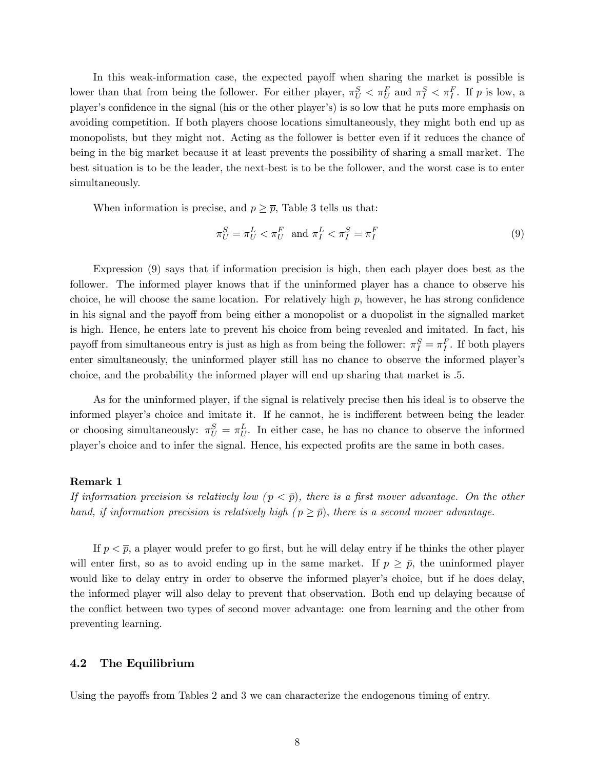In this weak-information case, the expected payoff when sharing the market is possible is lower than that from being the follower. For either player,  $\pi_U^S < \pi_U^F$  and  $\pi_I^S < \pi_I^F$ . If p is low, a player's confidence in the signal (his or the other player's) is so low that he puts more emphasis on avoiding competition. If both players choose locations simultaneously, they might both end up as monopolists, but they might not. Acting as the follower is better even if it reduces the chance of being in the big market because it at least prevents the possibility of sharing a small market. The best situation is to be the leader, the next-best is to be the follower, and the worst case is to enter simultaneously.

When information is precise, and  $p \geq \overline{p}$ , Table 3 tells us that:

$$
\pi_U^S = \pi_U^L < \pi_U^F \quad \text{and} \quad \pi_I^L < \pi_I^S = \pi_I^F \tag{9}
$$

Expression (9) says that if information precision is high, then each player does best as the follower. The informed player knows that if the uninformed player has a chance to observe his choice, he will choose the same location. For relatively high  $p$ , however, he has strong confidence in his signal and the payoff from being either a monopolist or a duopolist in the signalled market is high. Hence, he enters late to prevent his choice from being revealed and imitated. In fact, his payoff from simultaneous entry is just as high as from being the follower:  $\pi_I^S = \pi_I^F$ . If both players enter simultaneously, the uninformed player still has no chance to observe the informed player's choice, and the probability the informed player will end up sharing that market is .5.

As for the uninformed player, if the signal is relatively precise then his ideal is to observe the informed player's choice and imitate it. If he cannot, he is indifferent between being the leader or choosing simultaneously:  $\pi_U^S = \pi_U^L$ . In either case, he has no chance to observe the informed player's choice and to infer the signal. Hence, his expected profits are the same in both cases.

### Remark 1

If information precision is relatively low  $(p < \bar{p})$ , there is a first mover advantage. On the other hand, if information precision is relatively high  $(p \geq \bar{p})$ , there is a second mover advantage.

If  $p < \overline{p}$ , a player would prefer to go first, but he will delay entry if he thinks the other player will enter first, so as to avoid ending up in the same market. If  $p \geq \bar{p}$ , the uninformed player would like to delay entry in order to observe the informed player's choice, but if he does delay, the informed player will also delay to prevent that observation. Both end up delaying because of the conflict between two types of second mover advantage: one from learning and the other from preventing learning.

### 4.2 The Equilibrium

Using the payoffs from Tables 2 and 3 we can characterize the endogenous timing of entry.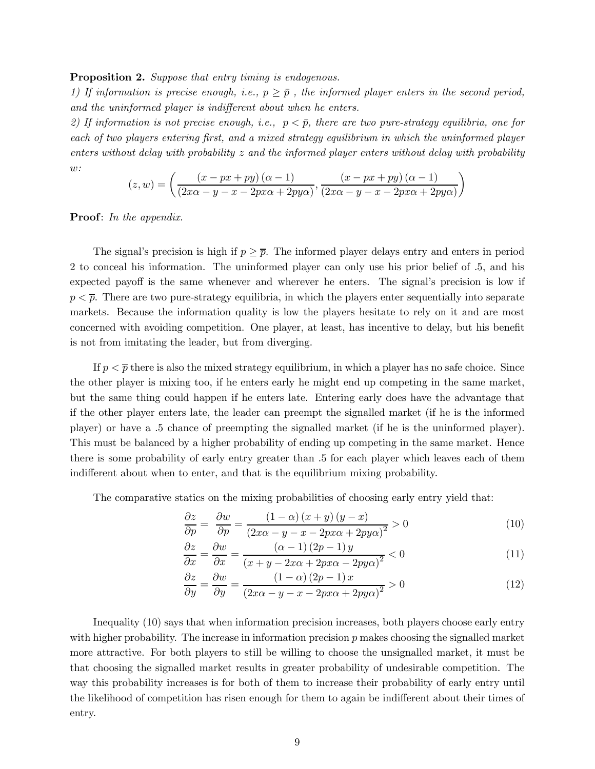Proposition 2. Suppose that entry timing is endogenous.

1) If information is precise enough, i.e.,  $p \geq \bar{p}$ , the informed player enters in the second period, and the uninformed player is indifferent about when he enters.

2) If information is not precise enough, i.e.,  $p < \bar{p}$ , there are two pure-strategy equilibria, one for each of two players entering first, and a mixed strategy equilibrium in which the uninformed player enters without delay with probability z and the informed player enters without delay with probability  $w:$ 

$$
(z,w) = \left(\frac{(x - px + py)\ (\alpha - 1)}{(2x\alpha - y - x - 2px\alpha + 2py\alpha)}, \frac{(x - px + py)\ (\alpha - 1)}{(2x\alpha - y - x - 2px\alpha + 2py\alpha)}\right)
$$

**Proof**: In the appendix.

The signal's precision is high if  $p \geq \overline{p}$ . The informed player delays entry and enters in period 2 to conceal his information. The uninformed player can only use his prior belief of .5, and his expected payoff is the same whenever and wherever he enters. The signal's precision is low if  $p < \bar{p}$ . There are two pure-strategy equilibria, in which the players enter sequentially into separate markets. Because the information quality is low the players hesitate to rely on it and are most concerned with avoiding competition. One player, at least, has incentive to delay, but his benefit is not from imitating the leader, but from diverging.

If  $p < \overline{p}$  there is also the mixed strategy equilibrium, in which a player has no safe choice. Since the other player is mixing too, if he enters early he might end up competing in the same market, but the same thing could happen if he enters late. Entering early does have the advantage that if the other player enters late, the leader can preempt the signalled market (if he is the informed player) or have a .5 chance of preempting the signalled market (if he is the uninformed player). This must be balanced by a higher probability of ending up competing in the same market. Hence there is some probability of early entry greater than .5 for each player which leaves each of them indifferent about when to enter, and that is the equilibrium mixing probability.

The comparative statics on the mixing probabilities of choosing early entry yield that:

$$
\frac{\partial z}{\partial p} = \frac{\partial w}{\partial p} = \frac{(1 - \alpha)(x + y)(y - x)}{(2x\alpha - y - x - 2px\alpha + 2py\alpha)^2} > 0
$$
\n(10)

$$
\frac{\partial z}{\partial x} = \frac{\partial w}{\partial x} = \frac{(\alpha - 1)(2p - 1)y}{(x + y - 2x\alpha + 2px\alpha - 2py\alpha)^2} < 0
$$
\n(11)

$$
\frac{\partial z}{\partial y} = \frac{\partial w}{\partial y} = \frac{\left(1 - \alpha\right)\left(2p - 1\right)x}{\left(2x\alpha - y - x - 2px\alpha + 2py\alpha\right)^2} > 0\tag{12}
$$

Inequality (10) says that when information precision increases, both players choose early entry with higher probability. The increase in information precision  $p$  makes choosing the signalled market more attractive. For both players to still be willing to choose the unsignalled market, it must be that choosing the signalled market results in greater probability of undesirable competition. The way this probability increases is for both of them to increase their probability of early entry until the likelihood of competition has risen enough for them to again be indifferent about their times of entry.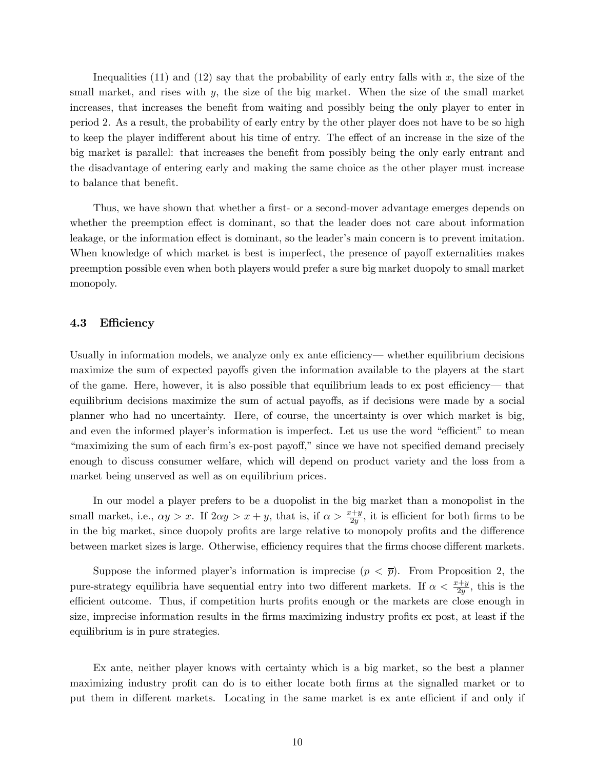Inequalities  $(11)$  and  $(12)$  say that the probability of early entry falls with x, the size of the small market, and rises with  $y$ , the size of the big market. When the size of the small market increases, that increases the benefit from waiting and possibly being the only player to enter in period 2. As a result, the probability of early entry by the other player does not have to be so high to keep the player indifferent about his time of entry. The effect of an increase in the size of the big market is parallel: that increases the benefit from possibly being the only early entrant and the disadvantage of entering early and making the same choice as the other player must increase to balance that benefit.

Thus, we have shown that whether a first- or a second-mover advantage emerges depends on whether the preemption effect is dominant, so that the leader does not care about information leakage, or the information effect is dominant, so the leader's main concern is to prevent imitation. When knowledge of which market is best is imperfect, the presence of payoff externalities makes preemption possible even when both players would prefer a sure big market duopoly to small market monopoly.

### 4.3 Efficiency

Usually in information models, we analyze only ex ante efficiency– whether equilibrium decisions maximize the sum of expected payoffs given the information available to the players at the start of the game. Here, however, it is also possible that equilibrium leads to ex post efficiency– that equilibrium decisions maximize the sum of actual payoffs, as if decisions were made by a social planner who had no uncertainty. Here, of course, the uncertainty is over which market is big, and even the informed player's information is imperfect. Let us use the word "efficient" to mean "maximizing the sum of each firm's ex-post payoff," since we have not specified demand precisely enough to discuss consumer welfare, which will depend on product variety and the loss from a market being unserved as well as on equilibrium prices.

In our model a player prefers to be a duopolist in the big market than a monopolist in the small market, i.e.,  $\alpha y > x$ . If  $2\alpha y > x + y$ , that is, if  $\alpha > \frac{x+y}{2y}$ , it is efficient for both firms to be in the big market, since duopoly profits are large relative to monopoly profits and the difference between market sizes is large. Otherwise, efficiency requires that the firms choose different markets.

Suppose the informed player's information is imprecise  $(p < \overline{p})$ . From Proposition 2, the pure-strategy equilibria have sequential entry into two different markets. If  $\alpha < \frac{x+y}{2y}$ , this is the efficient outcome. Thus, if competition hurts profits enough or the markets are close enough in size, imprecise information results in the firms maximizing industry profits ex post, at least if the equilibrium is in pure strategies.

Ex ante, neither player knows with certainty which is a big market, so the best a planner maximizing industry profit can do is to either locate both firms at the signalled market or to put them in different markets. Locating in the same market is ex ante efficient if and only if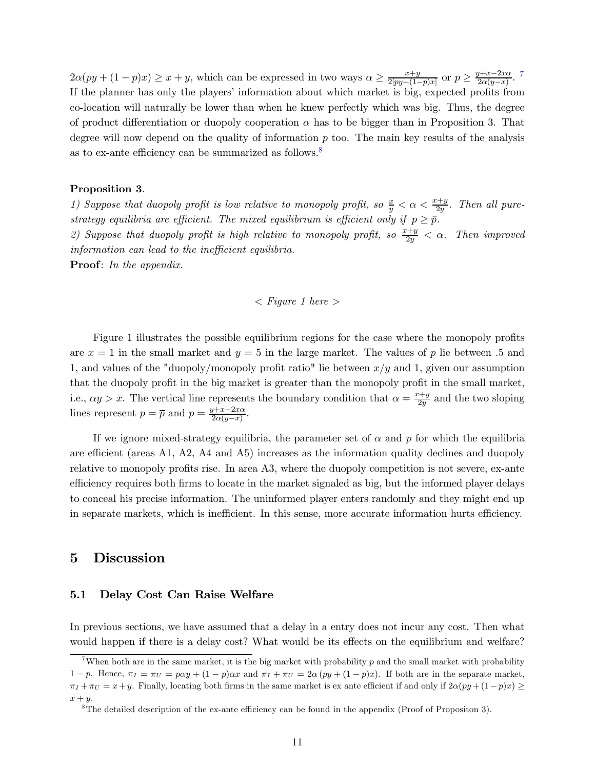$2\alpha(py + (1-p)x) \ge x + y$ , which can be expressed in two ways  $\alpha \ge \frac{x+y}{2[py+(1-p)x]}$  or  $p \ge \frac{y+x-2x\alpha}{2\alpha(y-x)}$ . If the planner has only the players' information about which market is big, expected profits from co-location will naturally be lower than when he knew perfectly which was big. Thus, the degree of product differentiation or duopoly cooperation  $\alpha$  has to be bigger than in Proposition 3. That degree will now depend on the quality of information  $p$  too. The main key results of the analysis as to ex-ante efficiency can be summarized as follows.<sup>8</sup>

#### Proposition 3.

1) Suppose that duopoly profit is low relative to monopoly profit, so  $\frac{x}{y} < \alpha < \frac{x+y}{2y}$ . Then all purestrategy equilibria are efficient. The mixed equilibrium is efficient only if  $p \geq \bar{p}$ .

2) Suppose that duopoly profit is high relative to monopoly profit, so  $\frac{x+y}{2y} < \alpha$ . Then improved information can lead to the inefficient equilibria.

**Proof:** In the appendix.

$$
< \text{Figure 1 here}>
$$

Figure 1 illustrates the possible equilibrium regions for the case where the monopoly profits are  $x = 1$  in the small market and  $y = 5$  in the large market. The values of p lie between .5 and 1, and values of the "duopoly/monopoly profit ratio" lie between  $x/y$  and 1, given our assumption that the duopoly profit in the big market is greater than the monopoly profit in the small market, i.e.,  $\alpha y > x$ . The vertical line represents the boundary condition that  $\alpha = \frac{x+y}{2y}$  and the two sloping lines represent  $p = \overline{p}$  and  $p = \frac{y+x-2x\alpha}{2\alpha(y-x)}$ .

If we ignore mixed-strategy equilibria, the parameter set of  $\alpha$  and  $p$  for which the equilibria are efficient (areas A1, A2, A4 and A5) increases as the information quality declines and duopoly relative to monopoly profits rise. In area A3, where the duopoly competition is not severe, ex-ante efficiency requires both firms to locate in the market signaled as big, but the informed player delays to conceal his precise information. The uninformed player enters randomly and they might end up in separate markets, which is inefficient. In this sense, more accurate information hurts efficiency.

# 5 Discussion

# 5.1 Delay Cost Can Raise Welfare

In previous sections, we have assumed that a delay in a entry does not incur any cost. Then what would happen if there is a delay cost? What would be its effects on the equilibrium and welfare?

<sup>&</sup>lt;sup>7</sup>When both are in the same market, it is the big market with probability p and the small market with probability  $1 - p$ . Hence,  $\pi_I = \pi_U = p\alpha y + (1 - p)\alpha x$  and  $\pi_I + \pi_U = 2\alpha (py + (1 - p)x)$ . If both are in the separate market,  $\pi_1 + \pi_U = x + y$ . Finally, locating both firms in the same market is ex ante efficient if and only if  $2\alpha(py + (1-p)x) \ge$  $x + y$ .

 ${}^8$ The detailed description of the ex-ante efficiency can be found in the appendix (Proof of Propositon 3).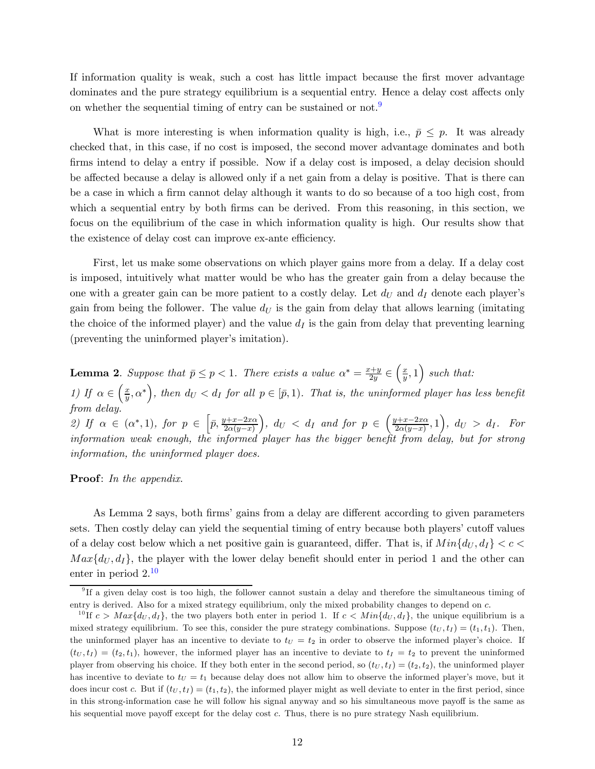If information quality is weak, such a cost has little impact because the first mover advantage dominates and the pure strategy equilibrium is a sequential entry. Hence a delay cost affects only on whether the sequential timing of entry can be sustained or not.<sup>9</sup>

What is more interesting is when information quality is high, i.e.,  $\bar{p} \leq p$ . It was already checked that, in this case, if no cost is imposed, the second mover advantage dominates and both firms intend to delay a entry if possible. Now if a delay cost is imposed, a delay decision should be affected because a delay is allowed only if a net gain from a delay is positive. That is there can be a case in which a firm cannot delay although it wants to do so because of a too high cost, from which a sequential entry by both firms can be derived. From this reasoning, in this section, we focus on the equilibrium of the case in which information quality is high. Our results show that the existence of delay cost can improve ex-ante efficiency.

First, let us make some observations on which player gains more from a delay. If a delay cost is imposed, intuitively what matter would be who has the greater gain from a delay because the one with a greater gain can be more patient to a costly delay. Let  $d_U$  and  $d_I$  denote each player's gain from being the follower. The value  $d_U$  is the gain from delay that allows learning (imitating the choice of the informed player) and the value  $d<sub>I</sub>$  is the gain from delay that preventing learning (preventing the uninformed player's imitation).

**Lemma 2.** Suppose that  $\bar{p} \leq p < 1$ . There exists a value  $\alpha^* = \frac{x+y}{2y} \in$  $\left(\frac{x}{y},1\right)$  such that: 1) If  $\alpha \in (\frac{x}{y}, \alpha^*)$ , then  $d_U < d_I$  for all  $p \in [\bar{p}, 1)$ . That is, the uninformed player has less benefit from delay. 2) If  $\alpha \in (\alpha^*, 1)$ , for  $p \in \left[ \overline{p}, \frac{y+x-2x\alpha}{2\alpha(y-x)} \right]$ ),  $d_U < d_I$  and for  $p \in \left(\frac{y+x-2x\alpha}{2\alpha(y-x)}, 1\right)$ ,  $d_U > d_I$ . For information weak enough, the informed player has the bigger benefit from delay, but for strong information, the uninformed player does.

**Proof**: In the appendix.

As Lemma 2 says, both firms' gains from a delay are different according to given parameters sets. Then costly delay can yield the sequential timing of entry because both players' cutoff values of a delay cost below which a net positive gain is guaranteed, differ. That is, if  $Min{d_U, d_I} < c <$  $Max{d_U, d_I}$ , the player with the lower delay benefit should enter in period 1 and the other can enter in period 2.10

 $9$ If a given delay cost is too high, the follower cannot sustain a delay and therefore the simultaneous timing of entry is derived. Also for a mixed strategy equilibrium, only the mixed probability changes to depend on c.

<sup>&</sup>lt;sup>10</sup>If  $c > Max{d_U, d_I}$ , the two players both enter in period 1. If  $c < Min{d_U, d_I}$ , the unique equilibrium is a mixed strategy equilibrium. To see this, consider the pure strategy combinations. Suppose  $(t_U, t_I) = (t_1, t_1)$ . Then, the uninformed player has an incentive to deviate to  $t_U = t_2$  in order to observe the informed player's choice. If  $(t_U, t_I) = (t_2, t_1)$ , however, the informed player has an incentive to deviate to  $t_I = t_2$  to prevent the uninformed player from observing his choice. If they both enter in the second period, so  $(t_U, t_I) = (t_2, t_2)$ , the uninformed player has incentive to deviate to  $t_U = t_1$  because delay does not allow him to observe the informed player's move, but it does incur cost c. But if  $(t_U, t_I) = (t_1, t_2)$ , the informed player might as well deviate to enter in the first period, since in this strong-information case he will follow his signal anyway and so his simultaneous move payoff is the same as his sequential move payoff except for the delay cost c. Thus, there is no pure strategy Nash equilibrium.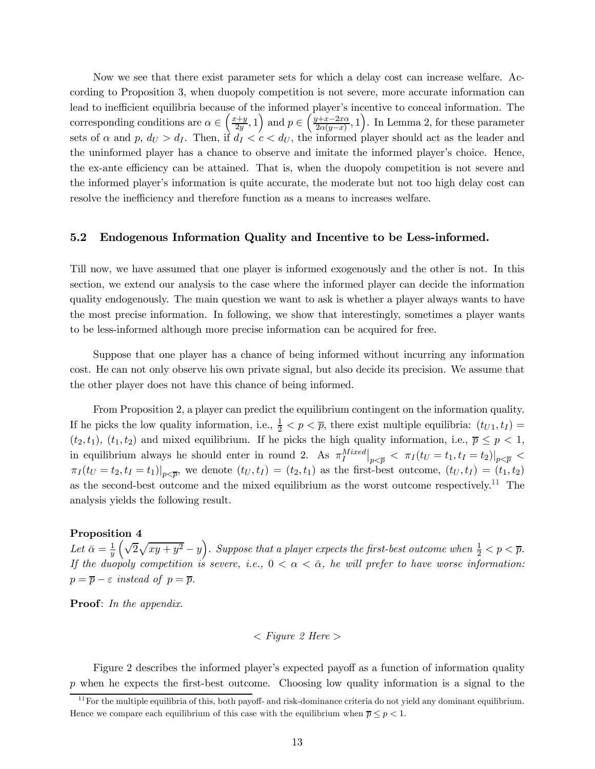Now we see that there exist parameter sets for which a delay cost can increase welfare. According to Proposition 3, when duopoly competition is not severe, more accurate information can lead to inefficient equilibria because of the informed player's incentive to conceal information. The corresponding conditions are  $\alpha \in \left(\frac{x+y}{2y},1\right)$  and  $p \in \left(\frac{y+x-2x\alpha}{2\alpha(y-x)},1\right)$ . In Lemma 2, for these parameter sets of  $\alpha$  and  $p$ ,  $d_U > d_I$ . Then, if  $d_I < c < d_U$ , the informed player should act as the leader and the uninformed player has a chance to observe and imitate the informed player's choice. Hence, the ex-ante efficiency can be attained. That is, when the duopoly competition is not severe and the informed player's information is quite accurate, the moderate but not too high delay cost can resolve the inefficiency and therefore function as a means to increases welfare.

# 5.2 Endogenous Information Quality and Incentive to be Less-informed.

Till now, we have assumed that one player is informed exogenously and the other is not. In this section, we extend our analysis to the case where the informed player can decide the information quality endogenously. The main question we want to ask is whether a player always wants to have the most precise information. In following, we show that interestingly, sometimes a player wants to be less-informed although more precise information can be acquired for free.

Suppose that one player has a chance of being informed without incurring any information cost. He can not only observe his own private signal, but also decide its precision. We assume that the other player does not have this chance of being informed.

From Proposition 2, a player can predict the equilibrium contingent on the information quality. If he picks the low quality information, i.e.,  $\frac{1}{2} < p < \overline{p}$ , there exist multiple equilibria:  $(t_{U_1}, t_I)$  =  $(t_2, t_1)$ ,  $(t_1, t_2)$  and mixed equilibrium. If he picks the high quality information, i.e.,  $\overline{p} \leq p < 1$ , in equilibrium always he should enter in round 2. As  $\pi_I^{Mixed}|_{p \leq \overline{p}} < \pi_I (t_U = t_1, t_I = t_2)|_{p \leq \overline{p}} <$  $\pi_I(t_U=t_2,t_I=t_1)|_{p\leq\overline{p}}$ , we denote  $(t_U,t_I)=(t_2,t_1)$  as the first-best outcome,  $(t_U,t_I)=(t_1,t_2)$ as the second-best outcome and the mixed equilibrium as the worst outcome respectively.<sup>11</sup> The analysis yields the following result.

# Proposition 4

Let  $\bar{\alpha} = \frac{1}{y} \left( \sqrt{2} \sqrt{xy + y^2} - y \right)$ . Suppose that a player expects the first-best outcome when  $\frac{1}{2} < p < \bar{p}$ . If the duopoly competition is severe, i.e.,  $0 < \alpha < \bar{\alpha}$ , he will prefer to have worse information:  $p = \overline{p} - \varepsilon$  instead of  $p = \overline{p}$ .

**Proof**: In the appendix.

# $\langle$  Figure 2 Here  $\rangle$

Figure 2 describes the informed player's expected payoff as a function of information quality  $p$  when he expects the first-best outcome. Choosing low quality information is a signal to the

 $11$  For the multiple equilibria of this, both payoff- and risk-dominance criteria do not yield any dominant equilibrium. Hence we compare each equilibrium of this case with the equilibrium when  $\overline{p} \leq p < 1$ .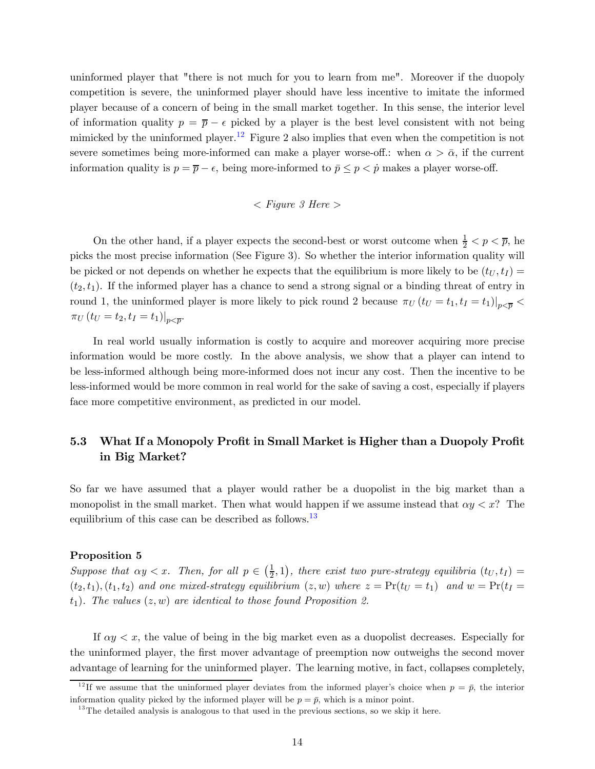uninformed player that "there is not much for you to learn from me". Moreover if the duopoly competition is severe, the uninformed player should have less incentive to imitate the informed player because of a concern of being in the small market together. In this sense, the interior level of information quality  $p = \bar{p} - \epsilon$  picked by a player is the best level consistent with not being mimicked by the uninformed player.<sup>12</sup> Figure 2 also implies that even when the competition is not severe sometimes being more-informed can make a player worse-off.: when  $\alpha > \bar{\alpha}$ , if the current information quality is  $p = \overline{p} - \epsilon$ , being more-informed to  $\overline{p} \leq p < \overline{p}$  makes a player worse-off.

## $\langle$  Figure 3 Here  $\rangle$

On the other hand, if a player expects the second-best or worst outcome when  $\frac{1}{2} < p < \overline{p}$ , he picks the most precise information (See Figure 3). So whether the interior information quality will be picked or not depends on whether he expects that the equilibrium is more likely to be  $(t_U, t_I)$  =  $(t_2, t_1)$ . If the informed player has a chance to send a strong signal or a binding threat of entry in round 1, the uninformed player is more likely to pick round 2 because  $\pi_U(t_U = t_1, t_I = t_1)|_{p \leq \overline{p}}$  $\pi_U(t_U = t_2, t_I = t_1)|_{p < \overline{p}}.$ 

In real world usually information is costly to acquire and moreover acquiring more precise information would be more costly. In the above analysis, we show that a player can intend to be less-informed although being more-informed does not incur any cost. Then the incentive to be less-informed would be more common in real world for the sake of saving a cost, especially if players face more competitive environment, as predicted in our model.

# 5.3 What If a Monopoly Profit in Small Market is Higher than a Duopoly Profit in Big Market?

So far we have assumed that a player would rather be a duopolist in the big market than a monopolist in the small market. Then what would happen if we assume instead that  $\alpha y < x$ ? The equilibrium of this case can be described as follows.<sup>13</sup>

### Proposition 5

Suppose that  $\alpha y < x$ . Then, for all  $p \in (\frac{1}{2}, 1)$ , there exist two pure-strategy equilibria  $(t_U, t_I) =$  $(t_2, t_1), (t_1, t_2)$  and one mixed-strategy equilibrium  $(z, w)$  where  $z = \Pr(t_U = t_1)$  and  $w = \Pr(t_U = t_1)$  $t_1$ ). The values  $(z, w)$  are identical to those found Proposition 2.

If  $\alpha y < x$ , the value of being in the big market even as a duopolist decreases. Especially for the uninformed player, the first mover advantage of preemption now outweighs the second mover advantage of learning for the uninformed player. The learning motive, in fact, collapses completely,

<sup>&</sup>lt;sup>12</sup>If we assume that the uninformed player deviates from the informed player's choice when  $p = \bar{p}$ , the interior information quality picked by the informed player will be  $p = \bar{p}$ , which is a minor point.

 $13$ The detailed analysis is analogous to that used in the previous sections, so we skip it here.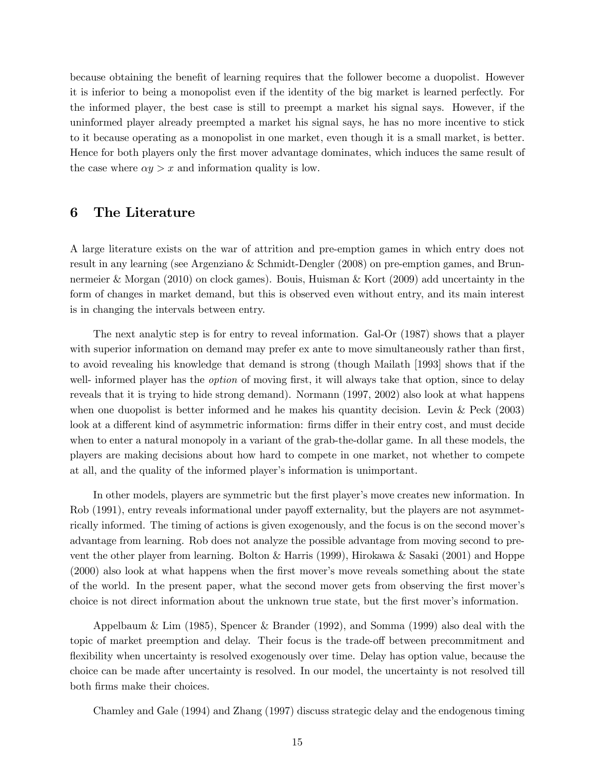because obtaining the benefit of learning requires that the follower become a duopolist. However it is inferior to being a monopolist even if the identity of the big market is learned perfectly. For the informed player, the best case is still to preempt a market his signal says. However, if the uninformed player already preempted a market his signal says, he has no more incentive to stick to it because operating as a monopolist in one market, even though it is a small market, is better. Hence for both players only the first mover advantage dominates, which induces the same result of the case where  $\alpha y > x$  and information quality is low.

# 6 The Literature

A large literature exists on the war of attrition and pre-emption games in which entry does not result in any learning (see Argenziano & Schmidt-Dengler (2008) on pre-emption games, and Brunnermeier & Morgan (2010) on clock games). Bouis, Huisman & Kort (2009) add uncertainty in the form of changes in market demand, but this is observed even without entry, and its main interest is in changing the intervals between entry.

The next analytic step is for entry to reveal information. Gal-Or (1987) shows that a player with superior information on demand may prefer ex ante to move simultaneously rather than first, to avoid revealing his knowledge that demand is strong (though Mailath [1993] shows that if the well- informed player has the *option* of moving first, it will always take that option, since to delay reveals that it is trying to hide strong demand). Normann (1997, 2002) also look at what happens when one duopolist is better informed and he makes his quantity decision. Levin & Peck (2003) look at a different kind of asymmetric information: firms differ in their entry cost, and must decide when to enter a natural monopoly in a variant of the grab-the-dollar game. In all these models, the players are making decisions about how hard to compete in one market, not whether to compete at all, and the quality of the informed player's information is unimportant.

In other models, players are symmetric but the first player's move creates new information. In Rob (1991), entry reveals informational under payoff externality, but the players are not asymmetrically informed. The timing of actions is given exogenously, and the focus is on the second mover's advantage from learning. Rob does not analyze the possible advantage from moving second to prevent the other player from learning. Bolton & Harris (1999), Hirokawa & Sasaki (2001) and Hoppe (2000) also look at what happens when the first mover's move reveals something about the state of the world. In the present paper, what the second mover gets from observing the first mover's choice is not direct information about the unknown true state, but the first mover's information.

Appelbaum & Lim (1985), Spencer & Brander (1992), and Somma (1999) also deal with the topic of market preemption and delay. Their focus is the trade-off between precommitment and flexibility when uncertainty is resolved exogenously over time. Delay has option value, because the choice can be made after uncertainty is resolved. In our model, the uncertainty is not resolved till both firms make their choices.

Chamley and Gale (1994) and Zhang (1997) discuss strategic delay and the endogenous timing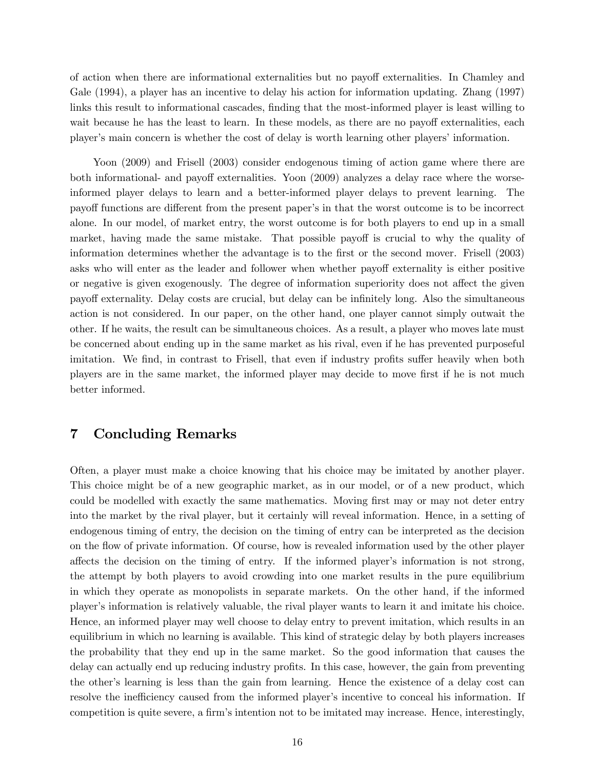of action when there are informational externalities but no payoff externalities. In Chamley and Gale (1994), a player has an incentive to delay his action for information updating. Zhang (1997) links this result to informational cascades, finding that the most-informed player is least willing to wait because he has the least to learn. In these models, as there are no payoff externalities, each player's main concern is whether the cost of delay is worth learning other players' information.

Yoon (2009) and Frisell (2003) consider endogenous timing of action game where there are both informational- and payoff externalities. Yoon (2009) analyzes a delay race where the worseinformed player delays to learn and a better-informed player delays to prevent learning. The payoff functions are different from the present paper's in that the worst outcome is to be incorrect alone. In our model, of market entry, the worst outcome is for both players to end up in a small market, having made the same mistake. That possible payoff is crucial to why the quality of information determines whether the advantage is to the first or the second mover. Frisell (2003) asks who will enter as the leader and follower when whether payoff externality is either positive or negative is given exogenously. The degree of information superiority does not affect the given payoff externality. Delay costs are crucial, but delay can be infinitely long. Also the simultaneous action is not considered. In our paper, on the other hand, one player cannot simply outwait the other. If he waits, the result can be simultaneous choices. As a result, a player who moves late must be concerned about ending up in the same market as his rival, even if he has prevented purposeful imitation. We find, in contrast to Frisell, that even if industry profits suffer heavily when both players are in the same market, the informed player may decide to move first if he is not much better informed.

# 7 Concluding Remarks

Often, a player must make a choice knowing that his choice may be imitated by another player. This choice might be of a new geographic market, as in our model, or of a new product, which could be modelled with exactly the same mathematics. Moving first may or may not deter entry into the market by the rival player, but it certainly will reveal information. Hence, in a setting of endogenous timing of entry, the decision on the timing of entry can be interpreted as the decision on the flow of private information. Of course, how is revealed information used by the other player affects the decision on the timing of entry. If the informed player's information is not strong, the attempt by both players to avoid crowding into one market results in the pure equilibrium in which they operate as monopolists in separate markets. On the other hand, if the informed player's information is relatively valuable, the rival player wants to learn it and imitate his choice. Hence, an informed player may well choose to delay entry to prevent imitation, which results in an equilibrium in which no learning is available. This kind of strategic delay by both players increases the probability that they end up in the same market. So the good information that causes the delay can actually end up reducing industry profits. In this case, however, the gain from preventing the other's learning is less than the gain from learning. Hence the existence of a delay cost can resolve the inefficiency caused from the informed player's incentive to conceal his information. If competition is quite severe, a firm's intention not to be imitated may increase. Hence, interestingly,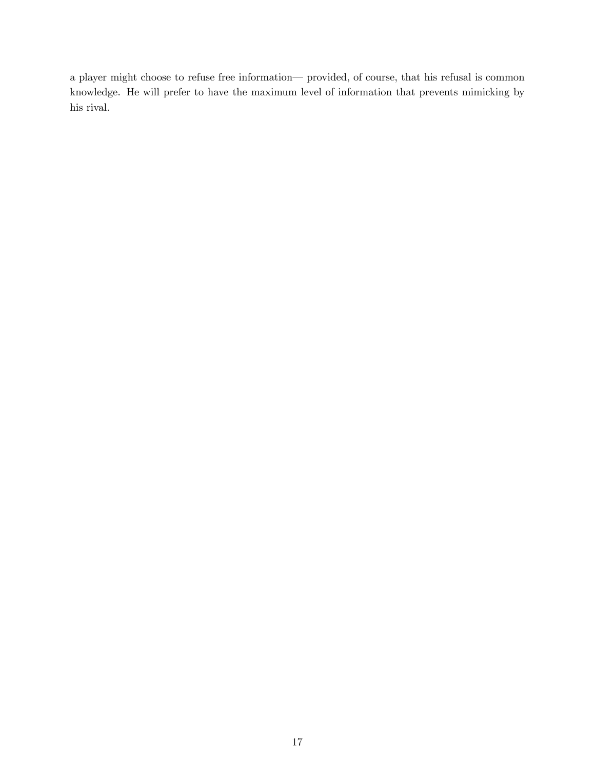a player might choose to refuse free information– provided, of course, that his refusal is common knowledge. He will prefer to have the maximum level of information that prevents mimicking by his rival.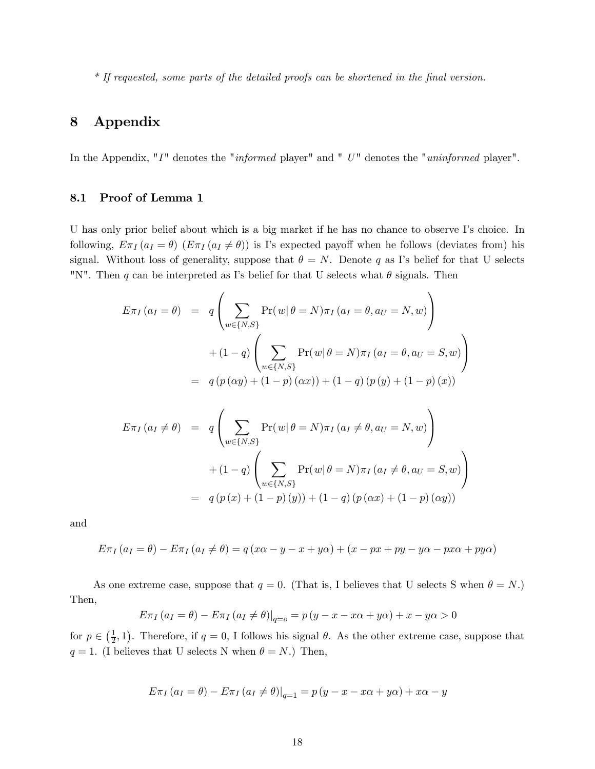\* If requested, some parts of the detailed proofs can be shortened in the final version.

# 8 Appendix

In the Appendix, "I" denotes the "informed player" and "  $U$ " denotes the "uninformed player".

# 8.1 Proof of Lemma 1

U has only prior belief about which is a big market if he has no chance to observe I's choice. In following,  $E\pi_I(a_I = \theta)$   $(E\pi_I(a_I \neq \theta))$  is I's expected payoff when he follows (deviates from) his signal. Without loss of generality, suppose that  $\theta = N$ . Denote q as I's belief for that U selects "N". Then q can be interpreted as I's belief for that U selects what  $\theta$  signals. Then

$$
E\pi_I (a_I = \theta) = q \left( \sum_{w \in \{N, S\}} \Pr(w | \theta = N) \pi_I (a_I = \theta, a_U = N, w) \right)
$$
  
+ 
$$
(1 - q) \left( \sum_{w \in \{N, S\}} \Pr(w | \theta = N) \pi_I (a_I = \theta, a_U = S, w) \right)
$$
  
= 
$$
q (p (\alpha y) + (1 - p) (\alpha x)) + (1 - q) (p (y) + (1 - p) (x))
$$

$$
E\pi_I (a_I \neq \theta) = q \left( \sum_{w \in \{N, S\}} \Pr(w | \theta = N) \pi_I (a_I \neq \theta, a_U = N, w) \right)
$$
  
+ 
$$
(1 - q) \left( \sum_{w \in \{N, S\}} \Pr(w | \theta = N) \pi_I (a_I \neq \theta, a_U = S, w) \right)
$$
  
= 
$$
q (p (x) + (1 - p) (y)) + (1 - q) (p (x x) + (1 - p) (x y))
$$

and

$$
E\pi_I(a_I = \theta) - E\pi_I(a_I \neq \theta) = q(x\alpha - y - x + y\alpha) + (x - px + py - y\alpha - px\alpha + py\alpha)
$$

As one extreme case, suppose that  $q = 0$ . (That is, I believes that U selects S when  $\theta = N$ .) Then,

$$
E\pi_I (a_I = \theta) - E\pi_I (a_I \neq \theta)|_{q=0} = p(y - x - x\alpha + y\alpha) + x - y\alpha > 0
$$

for  $p \in (\frac{1}{2}, 1)$ . Therefore, if  $q = 0$ , I follows his signal  $\theta$ . As the other extreme case, suppose that  $q = 1$ . (I believes that U selects N when  $\theta = N$ .) Then,

$$
E\pi_I(a_I = \theta) - E\pi_I(a_I \neq \theta)|_{q=1} = p(y - x - x\alpha + y\alpha) + x\alpha - y
$$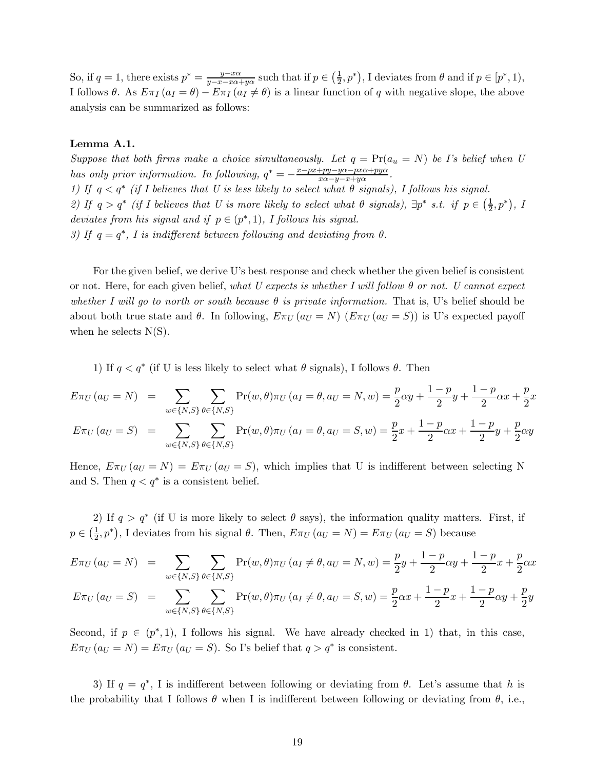So, if  $q = 1$ , there exists  $p^* = \frac{y - x\alpha}{y - x - x\alpha + y\alpha}$  such that if  $p \in (\frac{1}{2}, p^*)$ , I deviates from  $\theta$  and if  $p \in [p^*, 1)$ , I follows  $\theta$ . As  $E\pi_I(a_I = \theta) - E\pi_I(a_I \neq \theta)$  is a linear function of q with negative slope, the above analysis can be summarized as follows:

### Lemma A.1.

Suppose that both firms make a choice simultaneously. Let  $q = Pr(a_u = N)$  be I's belief when U has only prior information. In following,  $q^* = -\frac{x - px + py - y\alpha - px\alpha + py\alpha}{x\alpha - y - x + y\alpha}$ . 1) If  $q < q^*$  (if I believes that U is less likely to select what  $\theta$  signals), I follows his signal. 2) If  $q > q^*$  (if I believes that U is more likely to select what  $\theta$  signals),  $\exists p^*$  s.t. if  $p \in (\frac{1}{2}, p^*)$ , I deviates from his signal and if  $p \in (p^*, 1)$ , I follows his signal. 3) If  $q = q^*$ , I is indifferent between following and deviating from  $\theta$ .

For the given belief, we derive U's best response and check whether the given belief is consistent or not. Here, for each given belief, what U expects is whether I will follow  $\theta$  or not. U cannot expect whether I will go to north or south because  $\theta$  is private information. That is, U's belief should be about both true state and  $\theta$ . In following,  $E\pi_U(a_U = N)$  ( $E\pi_U(a_U = S)$ ) is U's expected payoff when he selects  $N(S)$ .

1) If  $q < q^*$  (if U is less likely to select what  $\theta$  signals), I follows  $\theta$ . Then

$$
E\pi_U (a_U = N) = \sum_{w \in \{N, S\}} \sum_{\theta \in \{N, S\}} \Pr(w, \theta) \pi_U (a_I = \theta, a_U = N, w) = \frac{p}{2} \alpha y + \frac{1 - p}{2} y + \frac{1 - p}{2} \alpha x + \frac{p}{2} x
$$
  

$$
E\pi_U (a_U = S) = \sum_{w \in \{N, S\}} \sum_{\theta \in \{N, S\}} \Pr(w, \theta) \pi_U (a_I = \theta, a_U = S, w) = \frac{p}{2} x + \frac{1 - p}{2} \alpha x + \frac{1 - p}{2} y + \frac{p}{2} \alpha y
$$

Hence,  $E\pi_U(a_U = N) = E\pi_U(a_U = S)$ , which implies that U is indifferent between selecting N and S. Then  $q < q^*$  is a consistent belief.

2) If  $q>q^*$  (if U is more likely to select  $\theta$  says), the information quality matters. First, if  $p \in (\frac{1}{2}, p^*)$ , I deviates from his signal  $\theta$ . Then,  $E \pi_U (a_U = N) = E \pi_U (a_U = S)$  because

$$
E\pi_U (a_U = N) = \sum_{w \in \{N, S\}} \sum_{\theta \in \{N, S\}} \Pr(w, \theta) \pi_U (a_I \neq \theta, a_U = N, w) = \frac{p}{2}y + \frac{1-p}{2}\alpha y + \frac{1-p}{2}x + \frac{p}{2}\alpha x
$$
  

$$
E\pi_U (a_U = S) = \sum_{w \in \{N, S\}} \sum_{\theta \in \{N, S\}} \Pr(w, \theta) \pi_U (a_I \neq \theta, a_U = S, w) = \frac{p}{2}\alpha x + \frac{1-p}{2}x + \frac{1-p}{2}\alpha y + \frac{p}{2}y
$$

Second, if  $p \in (p^*, 1)$ , I follows his signal. We have already checked in 1) that, in this case,  $E\pi_U(a_U = N) = E\pi_U(a_U = S)$ . So I's belief that  $q > q^*$  is consistent.

3) If  $q = q^*$ , I is indifferent between following or deviating from  $\theta$ . Let's assume that h is the probability that I follows  $\theta$  when I is indifferent between following or deviating from  $\theta$ , i.e.,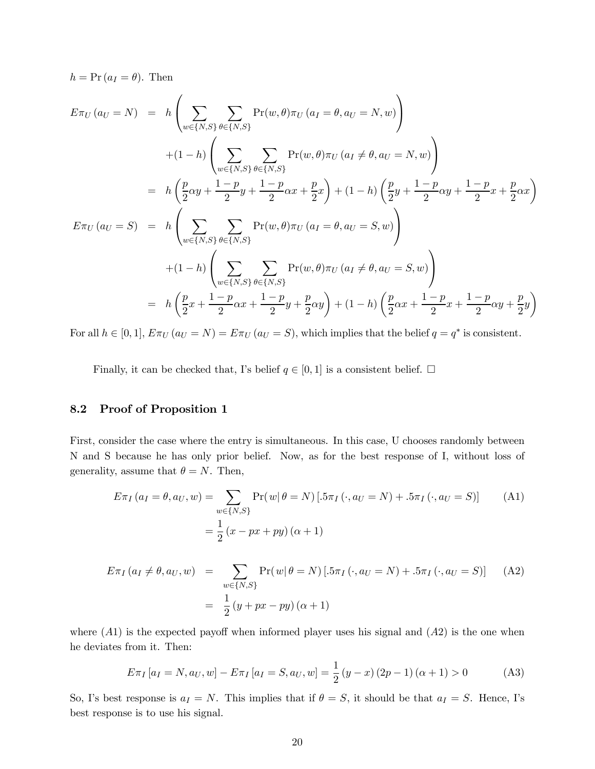$h = Pr(a_I = \theta)$ . Then

$$
E\pi_U (a_U = N) = h\left(\sum_{w \in \{N, S\}} \sum_{\theta \in \{N, S\}} \Pr(w, \theta) \pi_U (a_I = \theta, a_U = N, w)\right) + (1 - h) \left(\sum_{w \in \{N, S\}} \sum_{\theta \in \{N, S\}} \Pr(w, \theta) \pi_U (a_I \neq \theta, a_U = N, w)\right) = h\left(\frac{p}{2}\alpha y + \frac{1 - p}{2}y + \frac{1 - p}{2}\alpha x + \frac{p}{2}x\right) + (1 - h) \left(\frac{p}{2}y + \frac{1 - p}{2}\alpha y + \frac{1 - p}{2}x + \frac{p}{2}\alpha x\right) E\pi_U (a_U = S) = h\left(\sum_{w \in \{N, S\}} \sum_{\theta \in \{N, S\}} \Pr(w, \theta) \pi_U (a_I = \theta, a_U = S, w)\right) + (1 - h) \left(\sum_{w \in \{N, S\}} \sum_{\theta \in \{N, S\}} \Pr(w, \theta) \pi_U (a_I \neq \theta, a_U = S, w)\right) = h\left(\frac{p}{2}x + \frac{1 - p}{2}\alpha x + \frac{1 - p}{2}y + \frac{p}{2}\alpha y\right) + (1 - h) \left(\frac{p}{2}\alpha x + \frac{1 - p}{2}x + \frac{1 - p}{2}\alpha y + \frac{p}{2}y\right)
$$

For all  $h \in [0, 1], E\pi_U(a_U = N) = E\pi_U(a_U = S)$ , which implies that the belief  $q = q^*$  is consistent.

Finally, it can be checked that, I's belief  $q \in [0,1]$  is a consistent belief.  $\Box$ 

# 8.2 Proof of Proposition 1

First, consider the case where the entry is simultaneous. In this case, U chooses randomly between N and S because he has only prior belief. Now, as for the best response of I, without loss of generality, assume that  $\theta = N$ . Then,

$$
E\pi_I (a_I = \theta, a_U, w) = \sum_{w \in \{N, S\}} \Pr(w | \theta = N) [.5\pi_I (\cdot, a_U = N) + .5\pi_I (\cdot, a_U = S)] \tag{A1}
$$

$$
= \frac{1}{2} (x - px + py) (\alpha + 1)
$$

$$
E\pi_I(a_I \neq \theta, a_U, w) = \sum_{w \in \{N, S\}} \Pr(w|\theta = N) [.5\pi_I(\cdot, a_U = N) + .5\pi_I(\cdot, a_U = S)] \tag{A2}
$$

$$
= \frac{1}{2} (y + px - py) (\alpha + 1)
$$

where  $(A1)$  is the expected payoff when informed player uses his signal and  $(A2)$  is the one when he deviates from it. Then:

$$
E\pi_I [a_I = N, a_U, w] - E\pi_I [a_I = S, a_U, w] = \frac{1}{2} (y - x) (2p - 1) (\alpha + 1) > 0
$$
 (A3)

So, I's best response is  $a_I = N$ . This implies that if  $\theta = S$ , it should be that  $a_I = S$ . Hence, I's best response is to use his signal.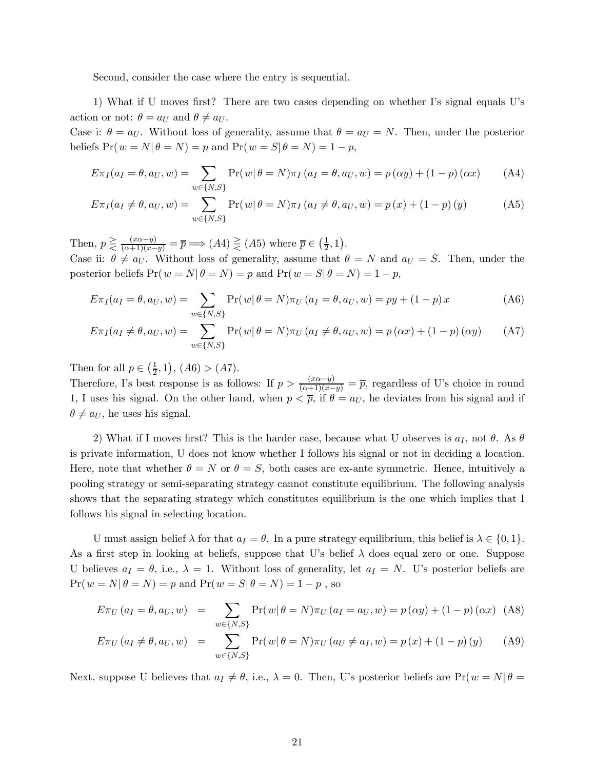Second, consider the case where the entry is sequential.

1) What if U moves first? There are two cases depending on whether I's signal equals U's action or not:  $\theta = a_U$  and  $\theta \neq a_U$ .

Case i:  $\theta = a_U$ . Without loss of generality, assume that  $\theta = a_U = N$ . Then, under the posterior beliefs  $Pr(w = N | \theta = N) = p$  and  $Pr(w = S | \theta = N) = 1 - p$ ,

$$
E\pi_I(a_I = \theta, a_U, w) = \sum_{w \in \{N, S\}} \Pr(w | \theta = N) \pi_I(a_I = \theta, a_U, w) = p(\alpha y) + (1 - p)(\alpha x) \tag{A4}
$$

$$
E\pi_I(a_I \neq \theta, a_U, w) = \sum_{w \in \{N, S\}} \Pr(w | \theta = N) \pi_I(a_I \neq \theta, a_U, w) = p(x) + (1 - p)(y) \tag{A5}
$$

Then,  $p \geq \frac{(x\alpha-y)}{(\alpha+1)(x-y)} = \overline{p} \Longrightarrow (A4) \geq (A5)$  where  $\overline{p} \in (\frac{1}{2}, 1)$ . Case ii:  $\theta \neq a_U$ . Without loss of generality, assume that  $\theta = N$  and  $a_U = S$ . Then, under the posterior beliefs  $Pr(w = N | \theta = N) = p$  and  $Pr(w = S | \theta = N) = 1 - p$ ,

$$
E\pi_I(a_I = \theta, a_U, w) = \sum_{w \in \{N, S\}} \Pr(w | \theta = N) \pi_U(a_I = \theta, a_U, w) = py + (1 - p)x \tag{A6}
$$

$$
E\pi_I(a_I \neq \theta, a_U, w) = \sum_{w \in \{N, S\}} \Pr(w | \theta = N) \pi_U(a_I \neq \theta, a_U, w) = p(\alpha x) + (1 - p)(\alpha y) \tag{A7}
$$

Then for all  $p \in (\frac{1}{2}, 1), (A6) > (A7)$ .

Therefore, I's best response is as follows: If  $p > \frac{(x\alpha-y)}{(\alpha+1)(x-y)} = \overline{p}$ , regardless of U's choice in round 1, I uses his signal. On the other hand, when  $p < \overline{p}$ , if  $\theta = a_U$ , he deviates from his signal and if  $\theta \neq a_U$ , he uses his signal.

2) What if I moves first? This is the harder case, because what U observes is  $a_I$ , not  $\theta$ . As  $\theta$ is private information, U does not know whether I follows his signal or not in deciding a location. Here, note that whether  $\theta = N$  or  $\theta = S$ , both cases are ex-ante symmetric. Hence, intuitively a pooling strategy or semi-separating strategy cannot constitute equilibrium. The following analysis shows that the separating strategy which constitutes equilibrium is the one which implies that I follows his signal in selecting location.

U must assign belief  $\lambda$  for that  $a_I = \theta$ . In a pure strategy equilibrium, this belief is  $\lambda \in \{0, 1\}$ . As a first step in looking at beliefs, suppose that U's belief  $\lambda$  does equal zero or one. Suppose U believes  $a_I = \theta$ , i.e.,  $\lambda = 1$ . Without loss of generality, let  $a_I = N$ . U's posterior beliefs are  $Pr(w = N | \theta = N) = p$  and  $Pr(w = S | \theta = N) = 1 - p$ , so

$$
E\pi_U (a_I = \theta, a_U, w) = \sum_{w \in \{N, S\}} \Pr(w | \theta = N) \pi_U (a_I = a_U, w) = p(\alpha y) + (1 - p)(\alpha x) \tag{A8}
$$

$$
E\pi_U (a_I \neq \theta, a_U, w) = \sum_{w \in \{N, S\}} \Pr(w | \theta = N) \pi_U (a_U \neq a_I, w) = p(x) + (1 - p)(y) \tag{A9}
$$

Next, suppose U believes that  $a_I \neq \theta$ , i.e.,  $\lambda = 0$ . Then, U's posterior beliefs are Pr(w = N| $\theta$  =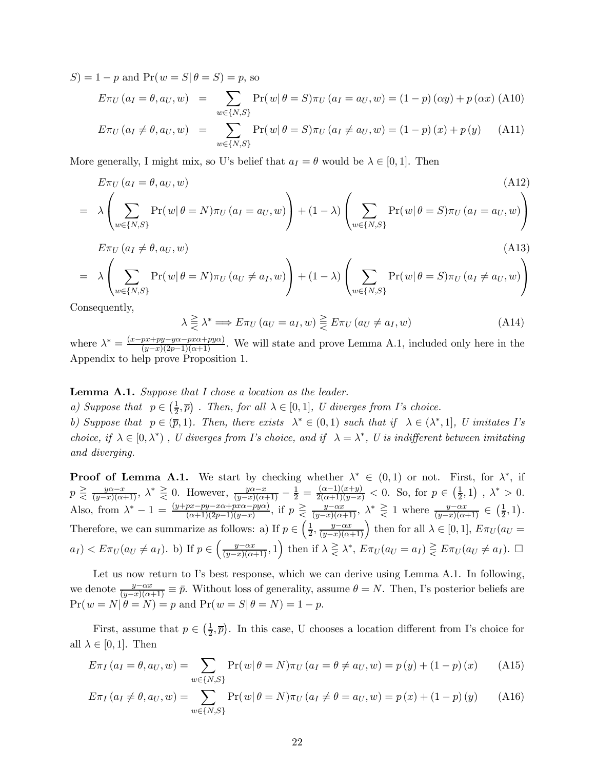$S=1-p$  and  $Pr(w = S | \theta = S) = p$ , so  $E\pi_U(a_I = \theta, a_U, w) = \sum$  $w \in \{N, S\}$  $Pr(w | \theta = S) \pi_U (a_I = a_U, w) = (1 - p) (\alpha y) + p (\alpha x)$  (A10)  $E\pi_U(a_I \neq \theta, a_U, w) = \sum$  $w \in \{N, S\}$  $Pr(w | \theta = S) \pi_U (a_I \neq a_U, w) = (1 - p)(x) + p(y)$  (A11)

More generally, I might mix, so U's belief that  $a_I = \theta$  would be  $\lambda \in [0,1]$ . Then

$$
E\pi_U (a_I = \theta, a_U, w)
$$
\n
$$
= \lambda \left( \sum_{w \in \{N, S\}} \Pr(w | \theta = N) \pi_U (a_I = a_U, w) \right) + (1 - \lambda) \left( \sum_{w \in \{N, S\}} \Pr(w | \theta = S) \pi_U (a_I = a_U, w) \right)
$$
\n(A12)

$$
E\pi_U(a_I \neq \theta, a_U, w)
$$
\n
$$
= \lambda \left( \sum_{w \in \{N, S\}} \Pr(w | \theta = N) \pi_U(a_U \neq a_I, w) \right) + (1 - \lambda) \left( \sum_{w \in \{N, S\}} \Pr(w | \theta = S) \pi_U(a_I \neq a_U, w) \right)
$$
\n(A13)

Consequently,

$$
\lambda \geq \lambda^* \Longrightarrow E \pi_U \left( a_U = a_I, w \right) \geq E \pi_U \left( a_U \neq a_I, w \right) \tag{A14}
$$

where  $\lambda^* = \frac{(x - px + py - y\alpha - px\alpha + py\alpha)}{(y - x)(2p - 1)(\alpha + 1)}$ . We will state and prove Lemma A.1, included only here in the Appendix to help prove Proposition 1.

### **Lemma A.1.** Suppose that I chose a location as the leader.

a) Suppose that  $p \in (\frac{1}{2}, \overline{p})$ . Then, for all  $\lambda \in [0, 1]$ , U diverges from I's choice.

b) Suppose that  $p \in (\overline{p}, 1)$ . Then, there exists  $\lambda^* \in (0, 1)$  such that if  $\lambda \in (\lambda^*, 1]$ , U imitates I's choice, if  $\lambda \in [0, \lambda^*)$ , U diverges from I's choice, and if  $\lambda = \lambda^*$ , U is indifferent between imitating and diverging.

**Proof of Lemma A.1.** We start by checking whether  $\lambda^* \in (0,1)$  or not. First, for  $\lambda^*$ , if  $p \geq \frac{y\alpha-x}{(y-x)(\alpha+1)}, \lambda^* \geq 0.$  However,  $\frac{y\alpha-x}{(y-x)(\alpha+1)} - \frac{1}{2} = \frac{(\alpha-1)(x+y)}{2(\alpha+1)(y-x)} < 0.$  So, for  $p \in (\frac{1}{2},1)$ ,  $\lambda^* > 0.$ Also, from  $\lambda^* - 1 = \frac{(y + px - py - x\alpha + px\alpha - py\alpha)}{(\alpha + 1)(2p - 1)(y - x)}$ , if  $p \ge \frac{y - \alpha x}{(y - x)(\alpha + 1)}$ ,  $\lambda^* \ge 1$  where  $\frac{y - \alpha x}{(y - x)(\alpha + 1)} \in (\frac{1}{2}, 1)$ . Therefore, we can summarize as follows: a) If  $p \in \left(\frac{1}{2}, \frac{y-\alpha x}{(y-x)(\alpha+1)}\right)$  then for all  $\lambda \in [0, 1]$ ,  $E\pi_U(a_U =$  $a_I$ ) <  $E \pi_U(a_U \neq a_I)$ . b) If  $p \in \left(\frac{y-\alpha x}{(y-x)(\alpha+1)},1\right)$  then if  $\lambda \geq \lambda^*$ ,  $E \pi_U(a_U = a_I) \geq E \pi_U(a_U \neq a_I)$ .  $\Box$ 

Let us now return to I's best response, which we can derive using Lemma A.1. In following, we denote  $\frac{y-\alpha x}{(y-x)(\alpha+1)} \equiv \bar{p}$ . Without loss of generality, assume  $\theta = N$ . Then, I's posterior beliefs are  $Pr(w = N | \theta = N) = p$  and  $Pr(w = S | \theta = N) = 1 - p$ .

First, assume that  $p \in (\frac{1}{2}, \overline{p})$ . In this case, U chooses a location different from I's choice for all  $\lambda \in [0,1]$ . Then

$$
E\pi_I(a_I = \theta, a_U, w) = \sum_{w \in \{N, S\}} \Pr(w | \theta = N) \pi_U(a_I = \theta \neq a_U, w) = p(y) + (1 - p)(x) \tag{A15}
$$

$$
E\pi_I(a_I \neq \theta, a_U, w) = \sum_{w \in \{N, S\}} \Pr(w | \theta = N) \pi_U(a_I \neq \theta = a_U, w) = p(x) + (1 - p)(y) \tag{A16}
$$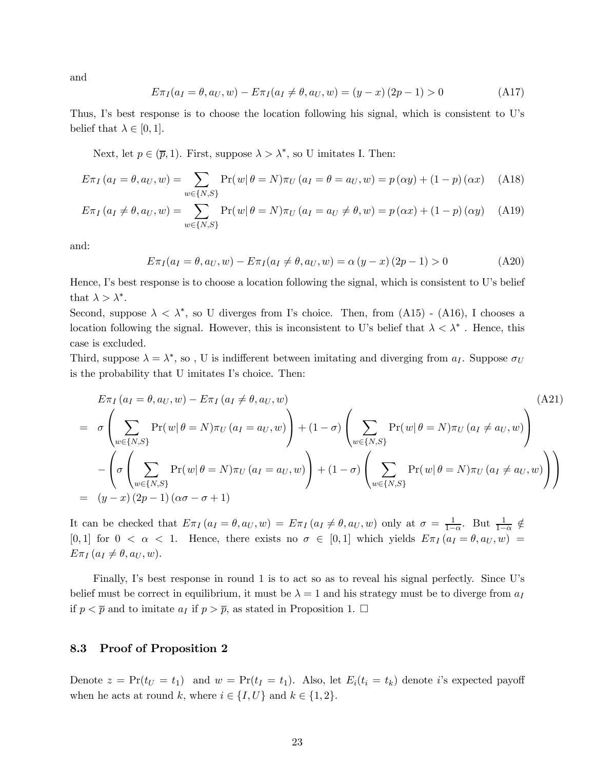and

$$
E\pi_I(a_I = \theta, a_U, w) - E\pi_I(a_I \neq \theta, a_U, w) = (y - x)(2p - 1) > 0
$$
 (A17)

Thus, I's best response is to choose the location following his signal, which is consistent to U's belief that  $\lambda \in [0,1]$ .

Next, let  $p \in (\overline{p}, 1)$ . First, suppose  $\lambda > \lambda^*$ , so U imitates I. Then:

$$
E\pi_I(a_I = \theta, a_U, w) = \sum_{w \in \{N, S\}} \Pr(w | \theta = N) \pi_U(a_I = \theta = a_U, w) = p(\alpha y) + (1 - p)(\alpha x) \quad (A18)
$$

$$
E\pi_I(a_I \neq \theta, a_U, w) = \sum_{w \in \{N, S\}} \Pr(w|\theta = N)\pi_U(a_I = a_U \neq \theta, w) = p(\alpha x) + (1 - p)(\alpha y) \tag{A19}
$$

and:

$$
E\pi_I(a_I = \theta, a_U, w) - E\pi_I(a_I \neq \theta, a_U, w) = \alpha (y - x) (2p - 1) > 0
$$
 (A20)

Hence, I's best response is to choose a location following the signal, which is consistent to U's belief that  $\lambda > \lambda^*$ .

Second, suppose  $\lambda < \lambda^*$ , so U diverges from I's choice. Then, from (A15) - (A16), I chooses a location following the signal. However, this is inconsistent to U's belief that  $\lambda < \lambda^*$ . Hence, this case is excluded.

Third, suppose  $\lambda = \lambda^*$ , so, U is indifferent between imitating and diverging from  $a_I$ . Suppose  $\sigma_U$ is the probability that U imitates I's choice. Then:

$$
E\pi_I (a_I = \theta, a_U, w) - E\pi_I (a_I \neq \theta, a_U, w)
$$
\n
$$
= \sigma \left( \sum_{w \in \{N, S\}} \Pr(w | \theta = N) \pi_U (a_I = a_U, w) \right) + (1 - \sigma) \left( \sum_{w \in \{N, S\}} \Pr(w | \theta = N) \pi_U (a_I \neq a_U, w) \right)
$$
\n
$$
- \left( \sigma \left( \sum_{w \in \{N, S\}} \Pr(w | \theta = N) \pi_U (a_I = a_U, w) \right) + (1 - \sigma) \left( \sum_{w \in \{N, S\}} \Pr(w | \theta = N) \pi_U (a_I \neq a_U, w) \right) \right)
$$
\n
$$
= (y - x) (2p - 1) (\alpha \sigma - \sigma + 1)
$$
\n(A21)

It can be checked that  $E\pi_I(a_I = \theta, a_U, w) = E\pi_I(a_I \neq \theta, a_U, w)$  only at  $\sigma = \frac{1}{1-\alpha}$ . But  $\frac{1}{1-\alpha} \notin$ [0, 1] for  $0 < \alpha < 1$ . Hence, there exists no  $\sigma \in [0,1]$  which yields  $E\pi_I(a_I = \theta, a_U, w)$  =  $E\pi_I(a_I \neq \theta, a_U, w).$ 

Finally, I's best response in round 1 is to act so as to reveal his signal perfectly. Since U's belief must be correct in equilibrium, it must be  $\lambda = 1$  and his strategy must be to diverge from  $a_I$ if  $p < \overline{p}$  and to imitate  $a_I$  if  $p > \overline{p}$ , as stated in Proposition 1.  $\Box$ 

#### 8.3 Proof of Proposition 2

Denote  $z = Pr(t_U = t_1)$  and  $w = Pr(t_I = t_1)$ . Also, let  $E_i(t_i = t_k)$  denote i's expected payoff when he acts at round k, where  $i \in \{I, U\}$  and  $k \in \{1, 2\}$ .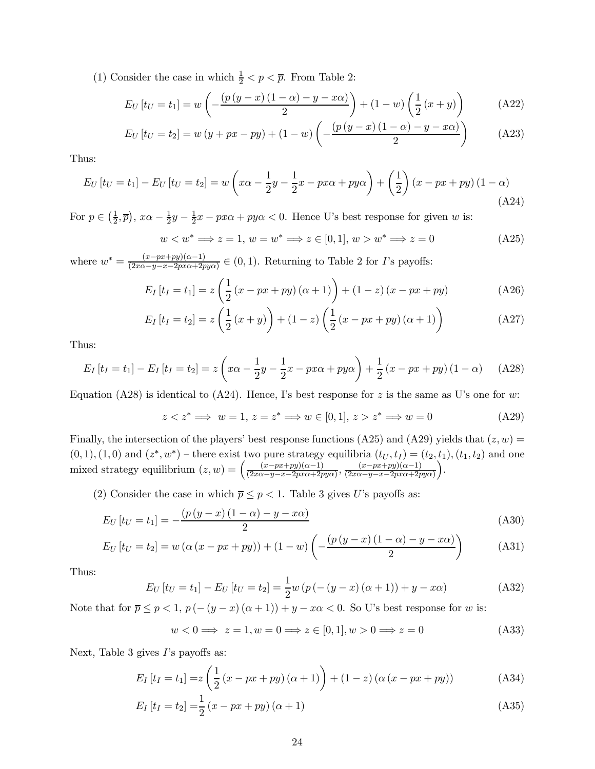(1) Consider the case in which  $\frac{1}{2} < p < \overline{p}$ . From Table 2:

$$
E_U \left[ t_U = t_1 \right] = w \left( -\frac{\left( p \left( y - x \right) \left( 1 - \alpha \right) - y - x\alpha \right)}{2} \right) + (1 - w) \left( \frac{1}{2} \left( x + y \right) \right) \tag{A22}
$$

$$
E_U \left[ t_U = t_2 \right] = w \left( y + px - py \right) + (1 - w) \left( -\frac{\left( p \left( y - x \right) \left( 1 - \alpha \right) - y - x\alpha \right)}{2} \right) \tag{A23}
$$

Thus:

$$
E_U \left[ t_U = t_1 \right] - E_U \left[ t_U = t_2 \right] = w \left( x\alpha - \frac{1}{2}y - \frac{1}{2}x - px\alpha + py\alpha \right) + \left( \frac{1}{2} \right) \left( x - px + py \right) \left( 1 - \alpha \right)
$$
\n(A24)

For  $p \in (\frac{1}{2}, \overline{p})$ ,  $x\alpha - \frac{1}{2}y - \frac{1}{2}x - px\alpha + py\alpha < 0$ . Hence U's best response for given w is:

$$
w < w^* \Longrightarrow z = 1, \, w = w^* \Longrightarrow z \in [0, 1], \, w > w^* \Longrightarrow z = 0 \tag{A25}
$$

where  $w^* = \frac{(x - px + py)(\alpha - 1)}{(2x\alpha - y - x - 2px\alpha + 2py\alpha)} \in (0, 1)$ . Returning to Table 2 for *I*'s payoffs:

$$
E_I[t_I = t_1] = z \left(\frac{1}{2} (x - px + py) (\alpha + 1)\right) + (1 - z) (x - px + py)
$$
 (A26)

$$
E_I[t_I = t_2] = z \left(\frac{1}{2} (x + y)\right) + (1 - z) \left(\frac{1}{2} (x - px + py) (\alpha + 1)\right)
$$
 (A27)

Thus:

$$
E_I[t_I = t_1] - E_I[t_I = t_2] = z \left( x\alpha - \frac{1}{2}y - \frac{1}{2}x - px\alpha + py\alpha \right) + \frac{1}{2} (x - px + py) (1 - \alpha) \tag{A28}
$$

Equation (A28) is identical to (A24). Hence, I's best response for z is the same as U's one for w:

$$
z < z^* \implies w = 1, \, z = z^* \implies w \in [0, 1], \, z > z^* \implies w = 0 \tag{A29}
$$

Finally, the intersection of the players' best response functions (A25) and (A29) yields that  $(z,w)$  =  $(0, 1), (1, 0)$  and  $(z^*, w^*)$  – there exist two pure strategy equilibria  $(t_U, t_I) = (t_2, t_1), (t_1, t_2)$  and one mixed strategy equilibrium  $(z, w) = \left(\frac{(x-px+py)(\alpha-1)}{(2x\alpha-y-x-2px\alpha+2py\alpha)}, \frac{(x-px+py)(\alpha-1)}{(2x\alpha-y-x-2px\alpha+2py\alpha}\right)$ ´ .

(2) Consider the case in which  $\overline{p} \leq p < 1$ . Table 3 gives U's payoffs as:

$$
E_U \left[ t_U = t_1 \right] = -\frac{\left( p \left( y - x \right) \left( 1 - \alpha \right) - y - x\alpha \right)}{2} \tag{A30}
$$

$$
E_U \left[ t_U = t_2 \right] = w \left( \alpha \left( x - px + py \right) \right) + (1 - w) \left( -\frac{\left( p \left( y - x \right) \left( 1 - \alpha \right) - y - x\alpha \right)}{2} \right) \tag{A31}
$$

Thus:

$$
E_U[t_U = t_1] - E_U[t_U = t_2] = \frac{1}{2}w(p(-(y-x)(\alpha+1)) + y - x\alpha)
$$
 (A32)

Note that for  $\overline{p} \leq p < 1$ ,  $p(-(y-x)(\alpha+1)) + y - x\alpha < 0$ . So U's best response for w is:

$$
w < 0 \Longrightarrow z = 1, w = 0 \Longrightarrow z \in [0, 1], w > 0 \Longrightarrow z = 0 \tag{A33}
$$

Next, Table 3 gives I's payoffs as:

$$
E_I[t_I = t_1] = z \left(\frac{1}{2} \left(x - px + py\right) \left(\alpha + 1\right)\right) + (1 - z) \left(\alpha \left(x - px + py\right)\right) \tag{A34}
$$

$$
E_I [t_I = t_2] = \frac{1}{2} (x - px + py) (\alpha + 1)
$$
\n(A35)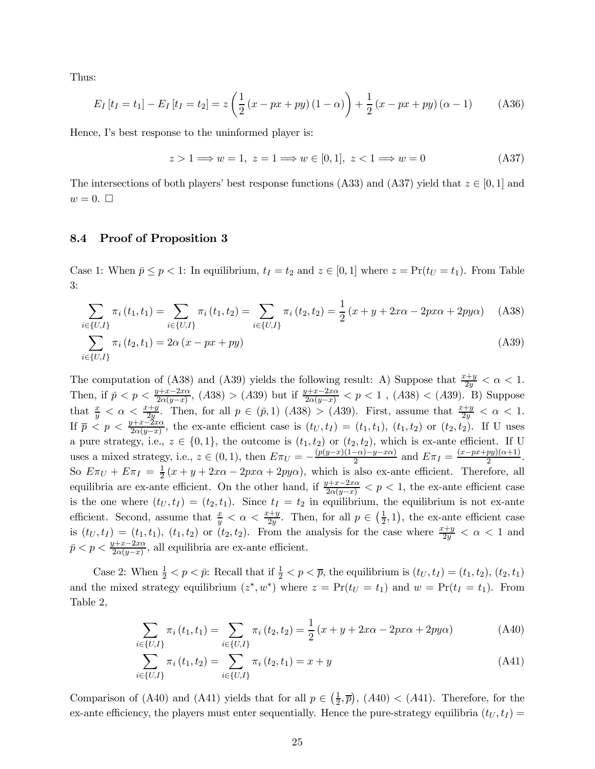Thus:

$$
E_I[t_I = t_1] - E_I[t_I = t_2] = z \left(\frac{1}{2}(x - px + py)(1 - \alpha)\right) + \frac{1}{2}(x - px + py)(\alpha - 1)
$$
 (A36)

Hence, I's best response to the uninformed player is:

 $z > 1 \Longrightarrow w = 1, z = 1 \Longrightarrow w \in [0, 1], z < 1 \Longrightarrow w = 0$  (A37)

The intersections of both players' best response functions (A33) and (A37) yield that  $z \in [0,1]$  and  $w=0.$   $\Box$ 

### 8.4 Proof of Proposition 3

Case 1: When  $\bar{p} \leq p < 1$ : In equilibrium,  $t_I = t_2$  and  $z \in [0, 1]$  where  $z = \Pr(t_U = t_1)$ . From Table 3:

$$
\sum_{i \in \{U, I\}} \pi_i(t_1, t_1) = \sum_{i \in \{U, I\}} \pi_i(t_1, t_2) = \sum_{i \in \{U, I\}} \pi_i(t_2, t_2) = \frac{1}{2} (x + y + 2x\alpha - 2px\alpha + 2py\alpha) \tag{A38}
$$
\n
$$
\sum_{i \in \{U, I\}} \pi_i(t_2, t_1) = 2\alpha (x - px + mv) \tag{A39}
$$

$$
\sum_{i \in \{U, I\}} \pi_i(t_2, t_1) = 2\alpha (x - px + py) \tag{A39}
$$

The computation of (A38) and (A39) yields the following result: A) Suppose that  $\frac{x+y}{2y} < \alpha < 1$ . Then, if  $\bar{p} < p < \frac{y+x-2x\alpha}{2\alpha(y-x)}$ , (A38) > (A39) but if  $\frac{y+x-2x\alpha}{2\alpha(y-x)} < p < 1$ , (A38) < (A39). B) Suppose that  $\frac{x}{y} < \alpha < \frac{x+y}{2y}$ . Then, for all  $p \in (\bar{p}, 1)$  (A38) > (A39). First, assume that  $\frac{x+y}{2y} < \alpha < 1$ . If  $\overline{p}$  <  $p$  <  $\frac{y+x-2x\alpha}{2\alpha(y-x)}$ , the ex-ante efficient case is  $(t_U, t_I) = (t_1, t_1)$ ,  $(t_1, t_2)$  or  $(t_2, t_2)$ . If U uses a pure strategy, i.e.,  $z \in \{0,1\}$ , the outcome is  $(t_1, t_2)$  or  $(t_2, t_2)$ , which is ex-ante efficient. If U uses a mixed strategy, i.e.,  $z \in (0,1)$ , then  $E\pi_U = -\frac{(p(y-x)(1-\alpha)-y-x\alpha)}{2}$  and  $E\pi_I = \frac{(x-px+py)(\alpha+1)}{2}$ . So  $E\pi_U + E\pi_I = \frac{1}{2}(x + y + 2x\alpha - 2px\alpha + 2py\alpha)$ , which is also ex-ante efficient. Therefore, all equilibria are ex-ante efficient. On the other hand, if  $\frac{y+x-2x\alpha}{2\alpha(y-x)} < p < 1$ , the ex-ante efficient case is the one where  $(t_U, t_I) = (t_2, t_1)$ . Since  $t_I = t_2$  in equilibrium, the equilibrium is not ex-ante efficient. Second, assume that  $\frac{x}{y} < \alpha < \frac{x+y}{2y}$ . Then, for all  $p \in (\frac{1}{2}, 1)$ , the ex-ante efficient case is  $(t_U, t_I) = (t_1, t_1), (t_1, t_2)$  or  $(t_2, t_2)$ . From the analysis for the case where  $\frac{x+y}{2y} < \alpha < 1$  and  $\bar{p} < p < \frac{y+x-2x\alpha}{2\alpha(y-x)}$ , all equilibria are ex-ante efficient.

Case 2: When  $\frac{1}{2} < p < \bar{p}$ : Recall that if  $\frac{1}{2} < p < \bar{p}$ , the equilibrium is  $(t_U, t_I) = (t_1, t_2), (t_2, t_1)$ and the mixed strategy equilibrium  $(z^*, w^*)$  where  $z = \Pr(t_U = t_1)$  and  $w = \Pr(t_I = t_1)$ . From Table 2,

$$
\sum_{i \in \{U, I\}} \pi_i(t_1, t_1) = \sum_{i \in \{U, I\}} \pi_i(t_2, t_2) = \frac{1}{2} (x + y + 2x\alpha - 2px\alpha + 2py\alpha)
$$
 (A40)

$$
\sum_{i \in \{U, I\}} \pi_i(t_1, t_2) = \sum_{i \in \{U, I\}} \pi_i(t_2, t_1) = x + y \tag{A41}
$$

Comparison of (A40) and (A41) yields that for all  $p \in (\frac{1}{2}, \overline{p})$ , (A40) < (A41). Therefore, for the ex-ante efficiency, the players must enter sequentially. Hence the pure-strategy equilibria  $(t_U, t_I)$  =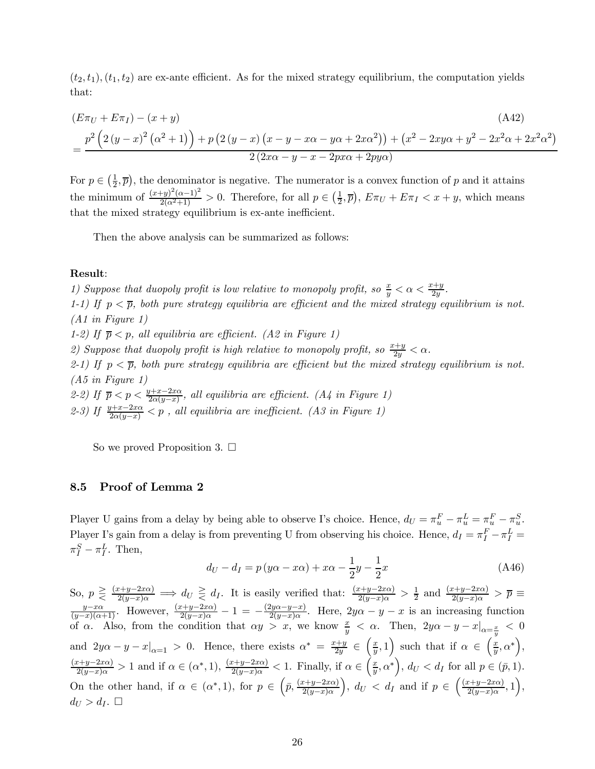$(t_2, t_1), (t_1, t_2)$  are ex-ante efficient. As for the mixed strategy equilibrium, the computation yields that:

$$
(E\pi_U + E\pi_I) - (x + y)
$$
\n
$$
= \frac{p^2 \left(2 \left(y - x\right)^2 \left(\alpha^2 + 1\right)\right) + p \left(2 \left(y - x\right) \left(x - y - x\alpha - y\alpha + 2x\alpha^2\right)\right) + \left(x^2 - 2xy\alpha + y^2 - 2x^2\alpha + 2x^2\alpha^2\right)}{2 \left(2x\alpha - y - x - 2px\alpha + 2py\alpha\right)}
$$
\n(A42)

For  $p \in (\frac{1}{2}, \overline{p})$ , the denominator is negative. The numerator is a convex function of p and it attains the minimum of  $\frac{(x+y)^2(\alpha-1)^2}{2(\alpha^2+1)} > 0$ . Therefore, for all  $p \in (\frac{1}{2}, \overline{p})$ ,  $E\pi_U + E\pi_I < x+y$ , which means that the mixed strategy equilibrium is ex-ante inefficient.

Then the above analysis can be summarized as follows:

#### Result:

1) Suppose that duopoly profit is low relative to monopoly profit, so  $\frac{x}{y} < \alpha < \frac{x+y}{2y}$ . 1-1) If  $p < \overline{p}$ , both pure strategy equilibria are efficient and the mixed strategy equilibrium is not. (A1 in Figure 1) 1-2) If  $\bar{p}$  < p, all equilibria are efficient. (A2 in Figure 1) 2) Suppose that duopoly profit is high relative to monopoly profit, so  $\frac{x+y}{2y} < \alpha$ . 2-1) If  $p < \overline{p}$ , both pure strategy equilibria are efficient but the mixed strategy equilibrium is not.  $(A5 \text{ in Figure 1})$ 2-2) If  $\bar{p} < p < \frac{y+x-2x\alpha}{2\alpha(y-x)}$ , all equilibria are efficient. (A4 in Figure 1) 2-3) If  $\frac{y+x-2x\alpha}{2\alpha(y-x)} < p$ , all equilibria are inefficient. (A3 in Figure 1)

So we proved Proposition 3.  $\Box$ 

### 8.5 Proof of Lemma 2

Player U gains from a delay by being able to observe I's choice. Hence,  $d_U = \pi_u^F - \pi_u^L = \pi_u^F - \pi_u^S$ . Player I's gain from a delay is from preventing U from observing his choice. Hence,  $d_I = \pi_I^F - \pi_I^L =$  $\pi_I^S - \pi_I^L$ . Then,

$$
d_U - d_I = p(y\alpha - x\alpha) + x\alpha - \frac{1}{2}y - \frac{1}{2}x \tag{A46}
$$

So,  $p \geq \frac{(x+y-2x\alpha)}{2(y-x)\alpha} \implies dy \geq d_I$ . It is easily verified that:  $\frac{(x+y-2x\alpha)}{2(y-x)\alpha} > \frac{1}{2}$  and  $\frac{(x+y-2x\alpha)}{2(y-x)\alpha} > \overline{p} \equiv$  $\frac{y-x\alpha}{(y-x)(\alpha+1)}$ . However,  $\frac{(x+y-2x\alpha)}{2(y-x)\alpha} - 1 = -\frac{(2y\alpha-y-x)}{2(y-x)\alpha}$ . Here,  $2y\alpha - y - x$  is an increasing function of  $\alpha$ . Also, from the condition that  $\alpha y > x$ , we know  $\frac{x}{y} < \alpha$ . Then,  $2y\alpha - y - x|_{\alpha = \frac{x}{y}} < 0$ and  $2y\alpha - y - x\vert_{\alpha=1} > 0$ . Hence, there exists  $\alpha^* = \frac{x+y}{2y} \in$  $\left(\frac{x}{y},1\right)$  such that if  $\alpha \in \left(\frac{x}{y},\alpha^*\right)$ ,  $\frac{(x+y-2x\alpha)}{2(y-x)\alpha} > 1$  and if  $\alpha \in (\alpha^*, 1)$ ,  $\frac{(x+y-2x\alpha)}{2(y-x)\alpha} < 1$ . Finally, if  $\alpha \in (\frac{x}{y}, \alpha^*)$ ,  $d_U < d_I$  for all  $p \in (\bar{p}, 1)$ . On the other hand, if  $\alpha \in (\alpha^*, 1)$ , for  $p \in \left(\bar{p}, \frac{(x+y-2x\alpha)}{2(y-x)\alpha}\right)$ ),  $d_U < d_I$  and if  $p \in \left(\frac{(x+y-2x\alpha)}{2(y-x)\alpha}, 1\right)$ ,  $d_U > d_I$ .  $\Box$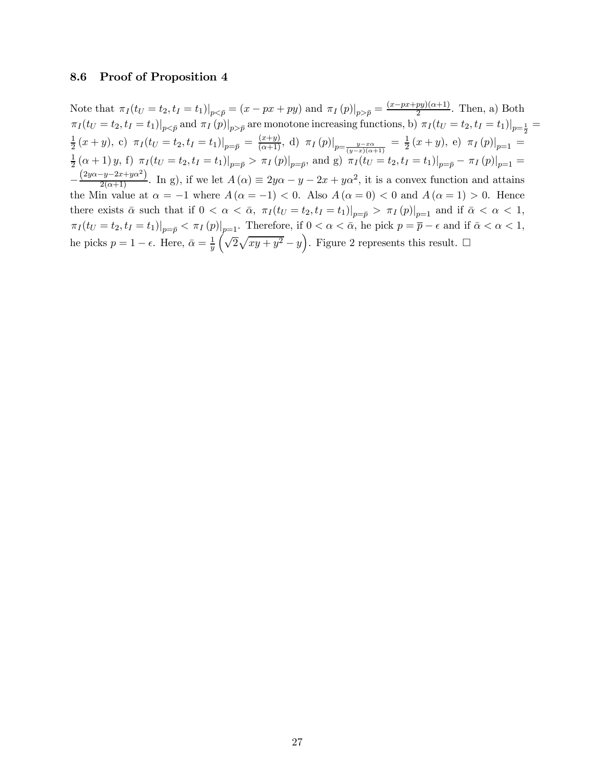# 8.6 Proof of Proposition 4

Note that  $\pi_I(t_U = t_2, t_I = t_1)|_{p < \bar{p}} = (x - px + py)$  and  $\pi_I(p)|_{p > \bar{p}} = \frac{(x - px + py)(\alpha + 1)}{2}$ . Then, a) Both  $\pi_I(t_U=t_2,t_I=t_1)|_{p<\bar{p}}$  and  $\pi_I(p)|_{p>\bar{p}}$  are monotone increasing functions, b)  $\pi_I(t_U=t_2,t_I=t_1)|_{p=\frac{1}{2}}=1$  $\frac{1}{2}(x+y)$ , c)  $\pi_I(t_U = t_2, t_I = t_1)|_{p=\bar{p}} = \frac{(x+y)}{(\alpha+1)}$ , d)  $\pi_I(p)|_{p=\frac{y-x\alpha}{(y-1)(\alpha+1)}} = \frac{1}{2}(x+y)$ , e)  $\pi_I(p)|_{p=1} =$  $\frac{1}{2}(\alpha+1)y, \text{ f) } \pi_I(t_U=t_2, t_I=t_1)|_{p=\bar{p}} > \pi_I(p)|_{p=\bar{p}}, \text{ and g) } \pi_I(t_U=t_2, t_I=t_1)|_{p=\bar{p}} - \pi_I(p)|_{p=1}=0$  $-\frac{(2y\alpha-y-2x+y\alpha^2)}{2(\alpha+1)}$ . In g), if we let  $A(\alpha) \equiv 2y\alpha - y - 2x + y\alpha^2$ , it is a convex function and attains the Min value at  $\alpha = -1$  where  $A(\alpha = -1) < 0$ . Also  $A(\alpha = 0) < 0$  and  $A(\alpha = 1) > 0$ . Hence there exists  $\bar{\alpha}$  such that if  $0 < \alpha < \bar{\alpha}$ ,  $\pi_I(t_U = t_2, t_I = t_1)|_{p=\bar{p}} > \pi_I(p)|_{p=1}$  and if  $\bar{\alpha} < \alpha < 1$ ,  $\pi_I(t_U = t_2, t_I = t_1)|_{p = \bar{p}} < \pi_I(p)|_{p = 1}$ . Therefore, if  $0 < \alpha < \bar{\alpha}$ , he pick  $p = \bar{p} - \epsilon$  and if  $\bar{\alpha} < \alpha < 1$ , he picks  $p = 1 - \epsilon$ . Here,  $\bar{\alpha} = \frac{1}{y} \left( \sqrt{2} \sqrt{xy + y^2} - y \right)$ . Figure 2 represents this result.  $\Box$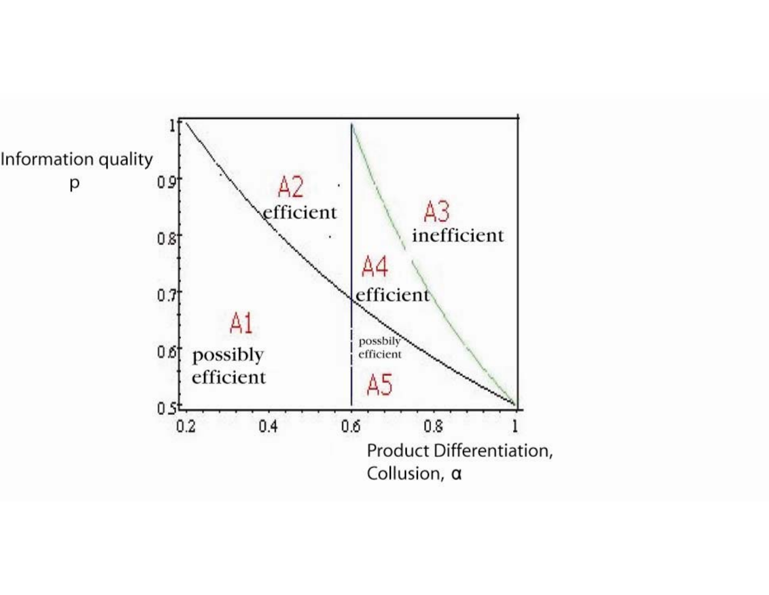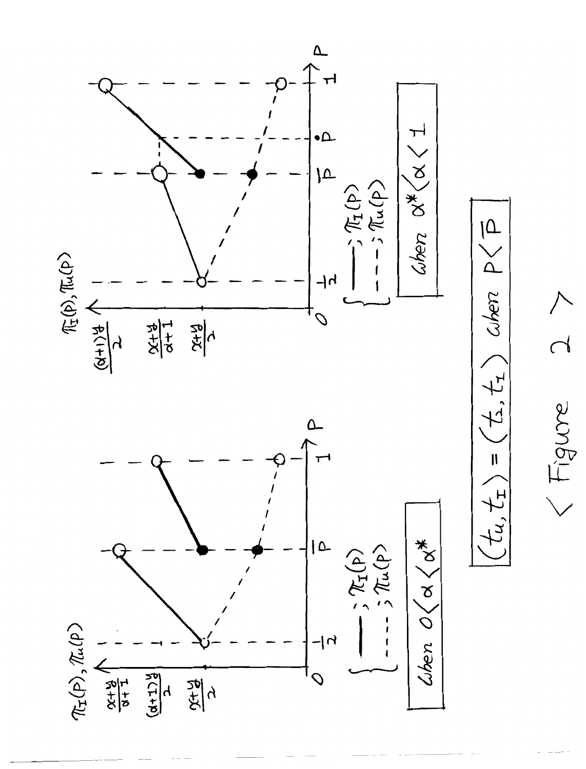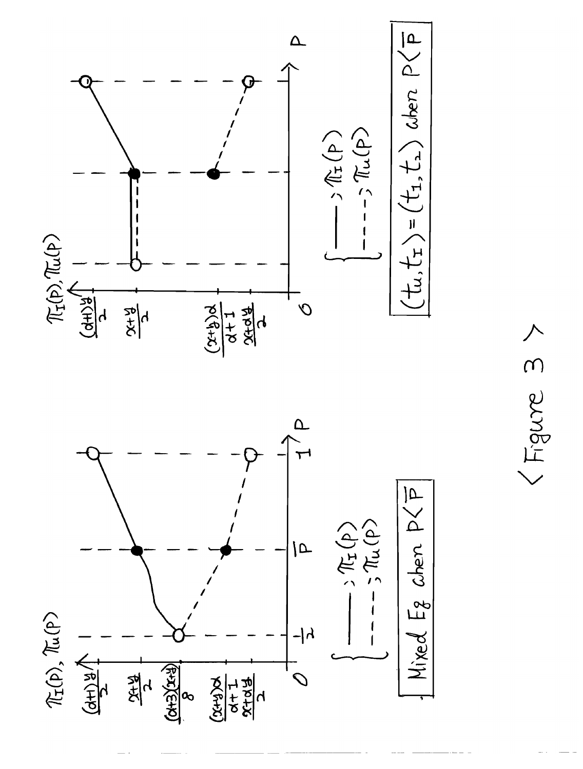



< Figure 3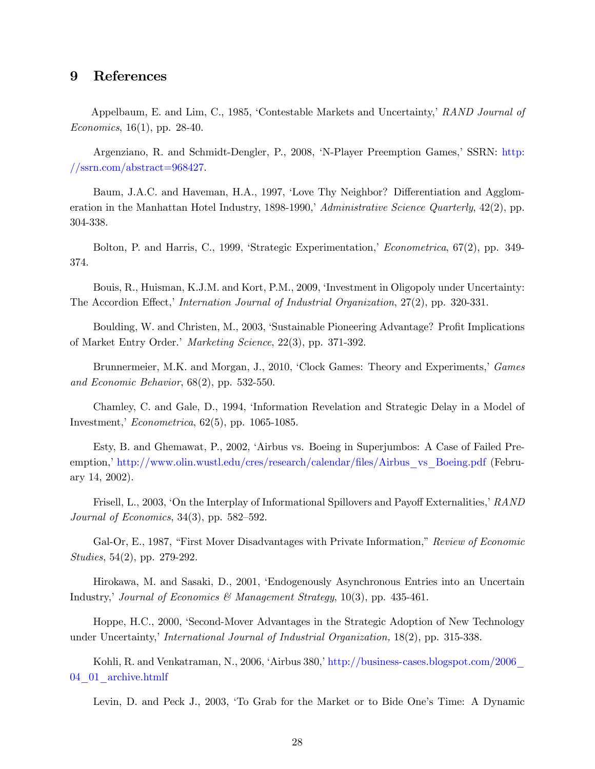# 9 References

Appelbaum, E. and Lim, C., 1985, 'Contestable Markets and Uncertainty,' RAND Journal of Economics, 16(1), pp. 28-40.

Argenziano, R. and Schmidt-Dengler, P., 2008, 'N-Player Preemption Games,' SSRN: http:  $// ssm.com/abstract=968427.$ 

Baum, J.A.C. and Haveman, H.A., 1997, 'Love Thy Neighbor? Differentiation and Agglomeration in the Manhattan Hotel Industry, 1898-1990,' Administrative Science Quarterly, 42(2), pp. 304-338.

Bolton, P. and Harris, C., 1999, 'Strategic Experimentation,' Econometrica, 67(2), pp. 349- 374.

Bouis, R., Huisman, K.J.M. and Kort, P.M., 2009, 'Investment in Oligopoly under Uncertainty: The Accordion Effect,' Internation Journal of Industrial Organization, 27(2), pp. 320-331.

Boulding, W. and Christen, M., 2003, 'Sustainable Pioneering Advantage? Profit Implications of Market Entry Order.' Marketing Science, 22(3), pp. 371-392.

Brunnermeier, M.K. and Morgan, J., 2010, 'Clock Games: Theory and Experiments,' Games and Economic Behavior, 68(2), pp. 532-550.

Chamley, C. and Gale, D., 1994, 'Information Revelation and Strategic Delay in a Model of Investment,' Econometrica, 62(5), pp. 1065-1085.

Esty, B. and Ghemawat, P., 2002, 'Airbus vs. Boeing in Superjumbos: A Case of Failed Preemption,' http://www.olin.wustl.edu/cres/research/calendar/files/Airbus\_vs\_Boeing.pdf (February 14, 2002).

Frisell, L., 2003, 'On the Interplay of Informational Spillovers and Payoff Externalities,' RAND Journal of Economics, 34(3), pp. 582—592.

Gal-Or, E., 1987, "First Mover Disadvantages with Private Information," Review of Economic Studies, 54(2), pp. 279-292.

Hirokawa, M. and Sasaki, D., 2001, 'Endogenously Asynchronous Entries into an Uncertain Industry,' Journal of Economics & Management Strategy, 10(3), pp. 435-461.

Hoppe, H.C., 2000, 'Second-Mover Advantages in the Strategic Adoption of New Technology under Uncertainty,' International Journal of Industrial Organization, 18(2), pp. 315-338.

Kohli, R. and Venkatraman, N., 2006, 'Airbus 380,' http://business-cases.blogspot.com/2006\_ 04 01 archive.htmlf

Levin, D. and Peck J., 2003, 'To Grab for the Market or to Bide One's Time: A Dynamic